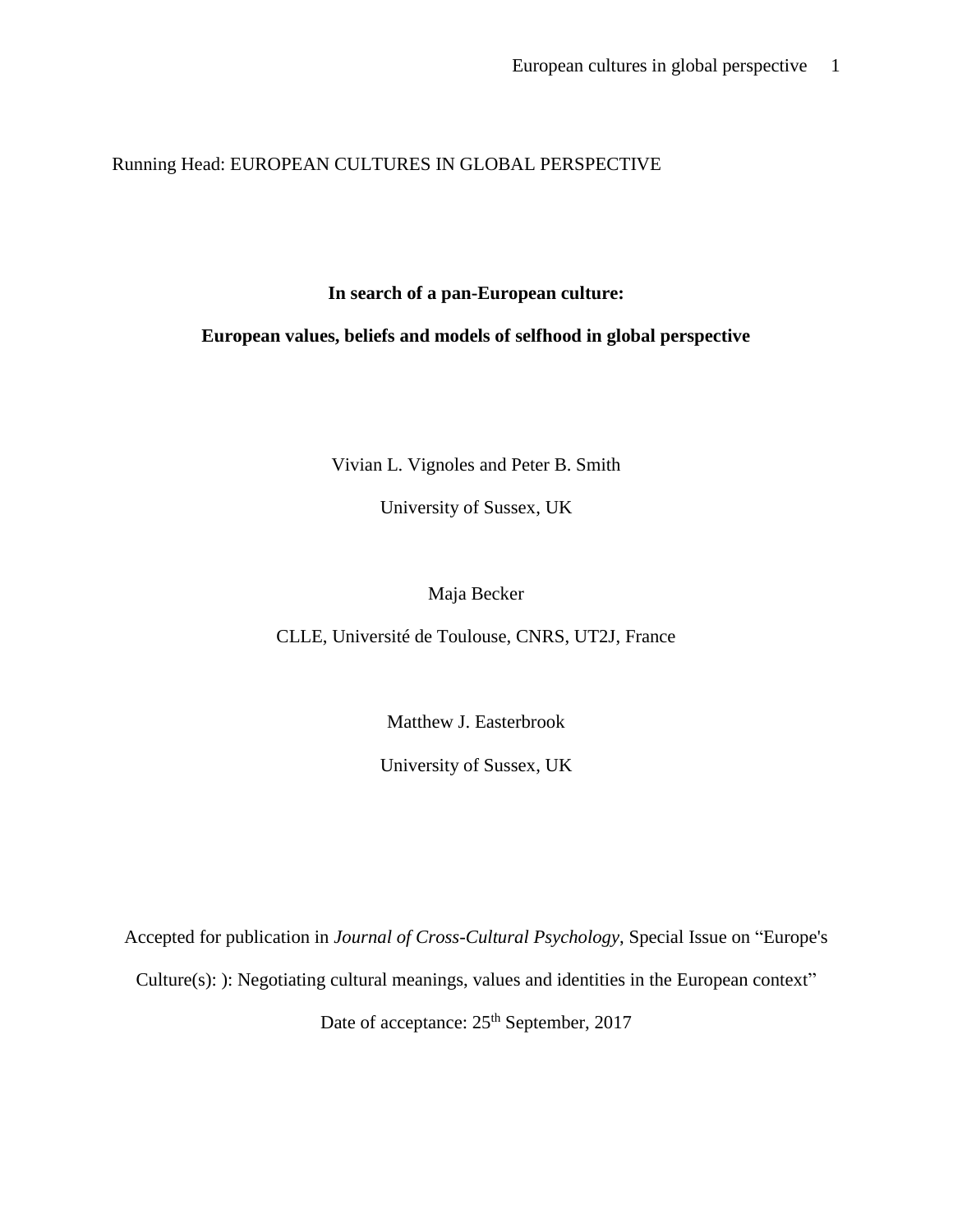Running Head: EUROPEAN CULTURES IN GLOBAL PERSPECTIVE

**In search of a pan-European culture:** 

**European values, beliefs and models of selfhood in global perspective**

Vivian L. Vignoles and Peter B. Smith

University of Sussex, UK

Maja Becker

CLLE, Université de Toulouse, CNRS, UT2J, France

Matthew J. Easterbrook

University of Sussex, UK

Accepted for publication in *Journal of Cross-Cultural Psychology*, Special Issue on "Europe's Culture(s): ): Negotiating cultural meanings, values and identities in the European context" Date of acceptance:  $25<sup>th</sup>$  September, 2017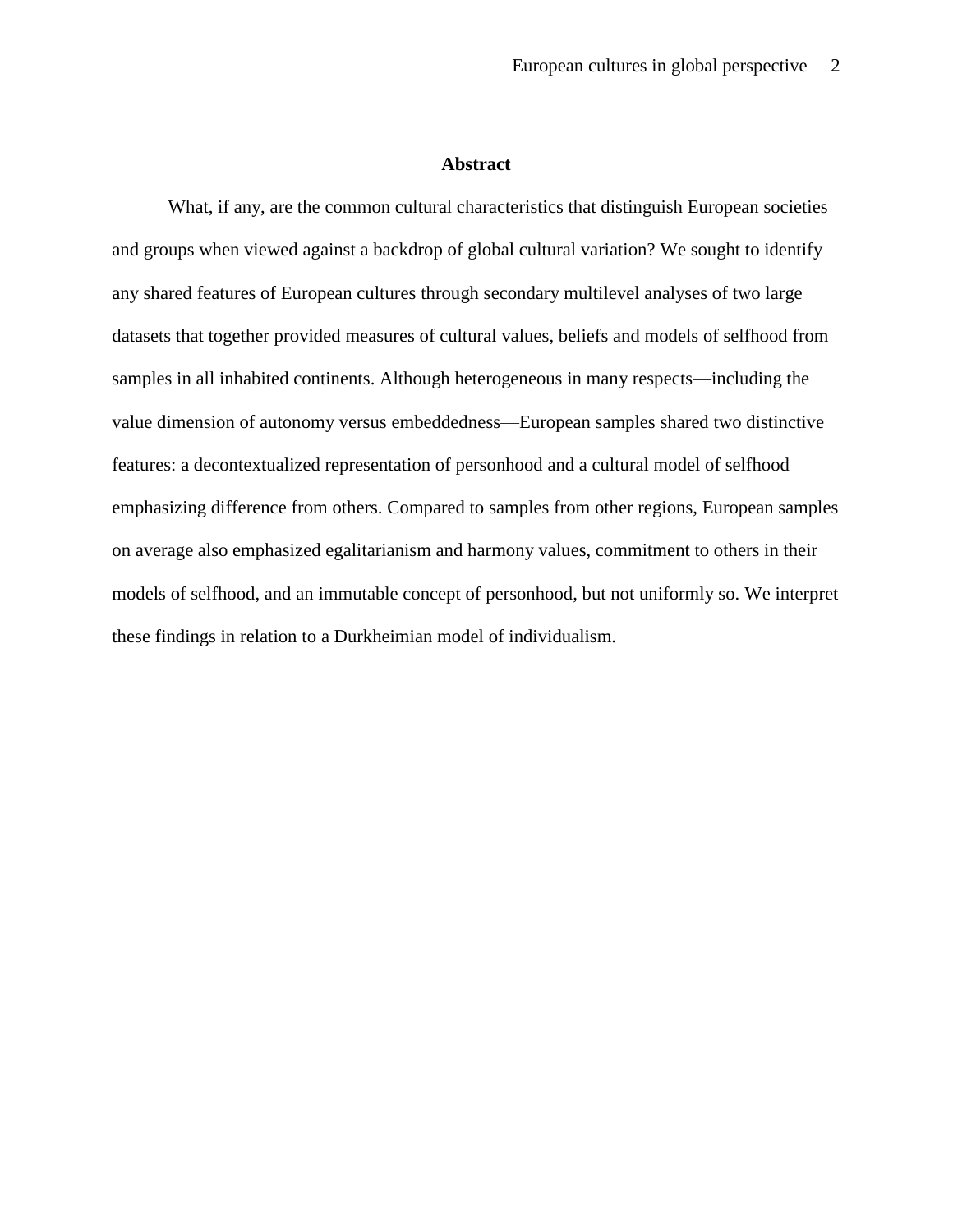## **Abstract**

What, if any, are the common cultural characteristics that distinguish European societies and groups when viewed against a backdrop of global cultural variation? We sought to identify any shared features of European cultures through secondary multilevel analyses of two large datasets that together provided measures of cultural values, beliefs and models of selfhood from samples in all inhabited continents. Although heterogeneous in many respects—including the value dimension of autonomy versus embeddedness—European samples shared two distinctive features: a decontextualized representation of personhood and a cultural model of selfhood emphasizing difference from others. Compared to samples from other regions, European samples on average also emphasized egalitarianism and harmony values, commitment to others in their models of selfhood, and an immutable concept of personhood, but not uniformly so. We interpret these findings in relation to a Durkheimian model of individualism.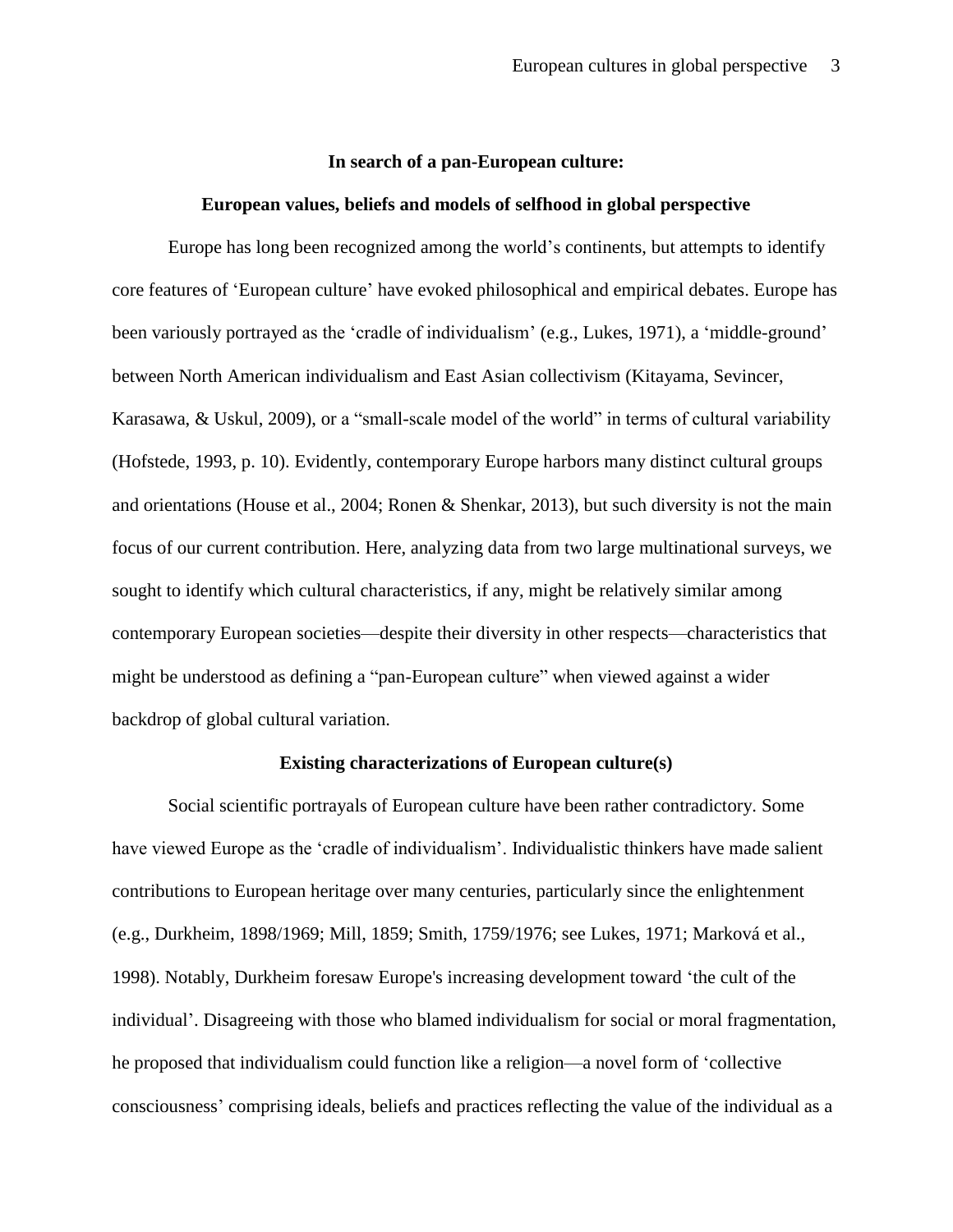#### **In search of a pan-European culture:**

#### **European values, beliefs and models of selfhood in global perspective**

Europe has long been recognized among the world's continents, but attempts to identify core features of 'European culture' have evoked philosophical and empirical debates. Europe has been variously portrayed as the 'cradle of individualism' (e.g., Lukes, 1971), a 'middle-ground' between North American individualism and East Asian collectivism (Kitayama, Sevincer, Karasawa, & Uskul, 2009), or a "small-scale model of the world" in terms of cultural variability (Hofstede, 1993, p. 10). Evidently, contemporary Europe harbors many distinct cultural groups and orientations (House et al., 2004; Ronen & Shenkar, 2013), but such diversity is not the main focus of our current contribution. Here, analyzing data from two large multinational surveys, we sought to identify which cultural characteristics, if any, might be relatively similar among contemporary European societies—despite their diversity in other respects—characteristics that might be understood as defining a "pan-European culture" when viewed against a wider backdrop of global cultural variation.

## **Existing characterizations of European culture(s)**

Social scientific portrayals of European culture have been rather contradictory. Some have viewed Europe as the 'cradle of individualism'. Individualistic thinkers have made salient contributions to European heritage over many centuries, particularly since the enlightenment (e.g., Durkheim, 1898/1969; Mill, 1859; Smith, 1759/1976; see Lukes, 1971; Marková et al., 1998). Notably, Durkheim foresaw Europe's increasing development toward 'the cult of the individual'. Disagreeing with those who blamed individualism for social or moral fragmentation, he proposed that individualism could function like a religion—a novel form of 'collective consciousness' comprising ideals, beliefs and practices reflecting the value of the individual as a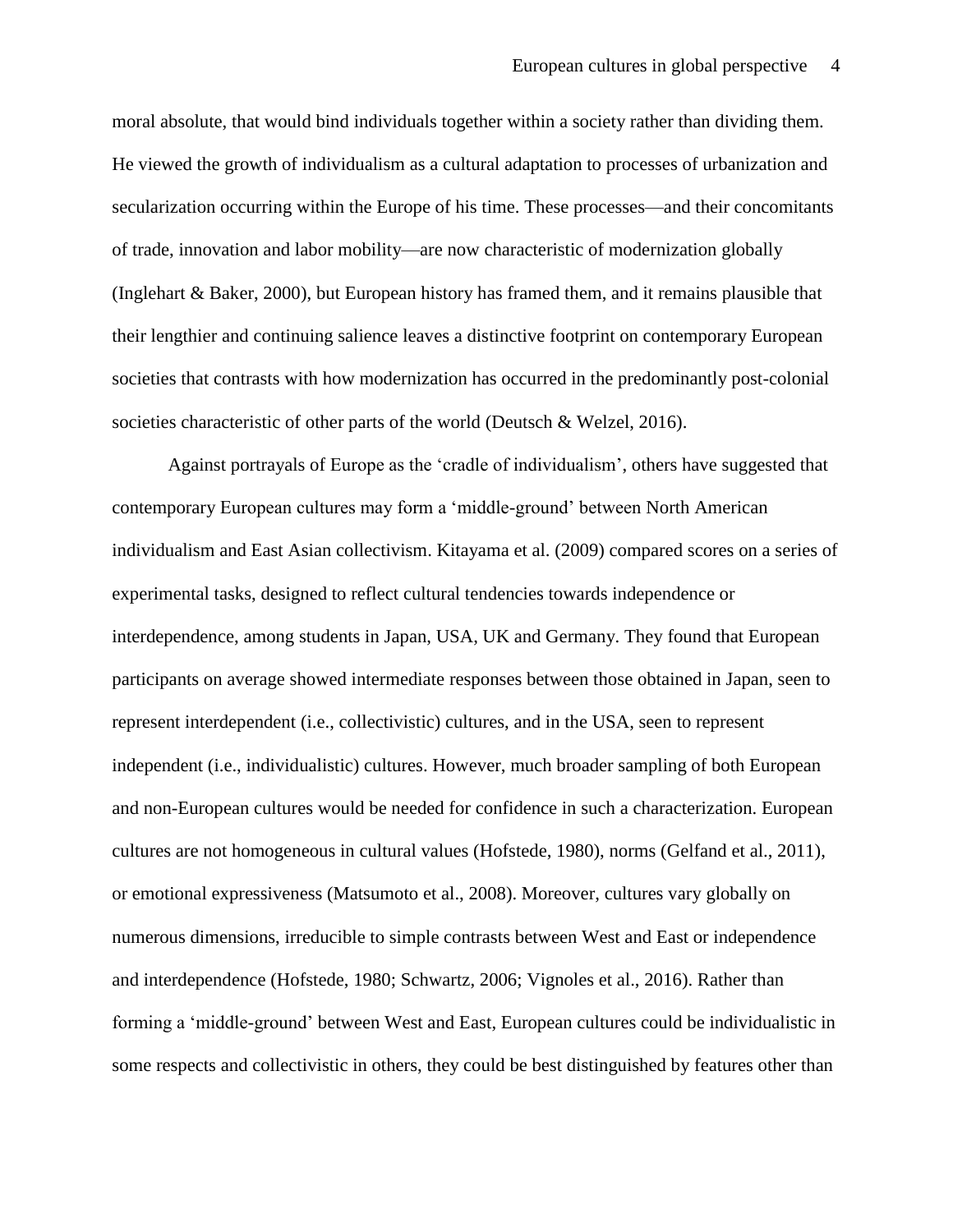moral absolute, that would bind individuals together within a society rather than dividing them. He viewed the growth of individualism as a cultural adaptation to processes of urbanization and secularization occurring within the Europe of his time. These processes—and their concomitants of trade, innovation and labor mobility—are now characteristic of modernization globally (Inglehart & Baker, 2000), but European history has framed them, and it remains plausible that their lengthier and continuing salience leaves a distinctive footprint on contemporary European societies that contrasts with how modernization has occurred in the predominantly post-colonial societies characteristic of other parts of the world (Deutsch & Welzel, 2016).

Against portrayals of Europe as the 'cradle of individualism', others have suggested that contemporary European cultures may form a 'middle-ground' between North American individualism and East Asian collectivism. Kitayama et al. (2009) compared scores on a series of experimental tasks, designed to reflect cultural tendencies towards independence or interdependence, among students in Japan, USA, UK and Germany. They found that European participants on average showed intermediate responses between those obtained in Japan, seen to represent interdependent (i.e., collectivistic) cultures, and in the USA, seen to represent independent (i.e., individualistic) cultures. However, much broader sampling of both European and non-European cultures would be needed for confidence in such a characterization. European cultures are not homogeneous in cultural values (Hofstede, 1980), norms (Gelfand et al., 2011), or emotional expressiveness (Matsumoto et al., 2008). Moreover, cultures vary globally on numerous dimensions, irreducible to simple contrasts between West and East or independence and interdependence (Hofstede, 1980; Schwartz, 2006; Vignoles et al., 2016). Rather than forming a 'middle-ground' between West and East, European cultures could be individualistic in some respects and collectivistic in others, they could be best distinguished by features other than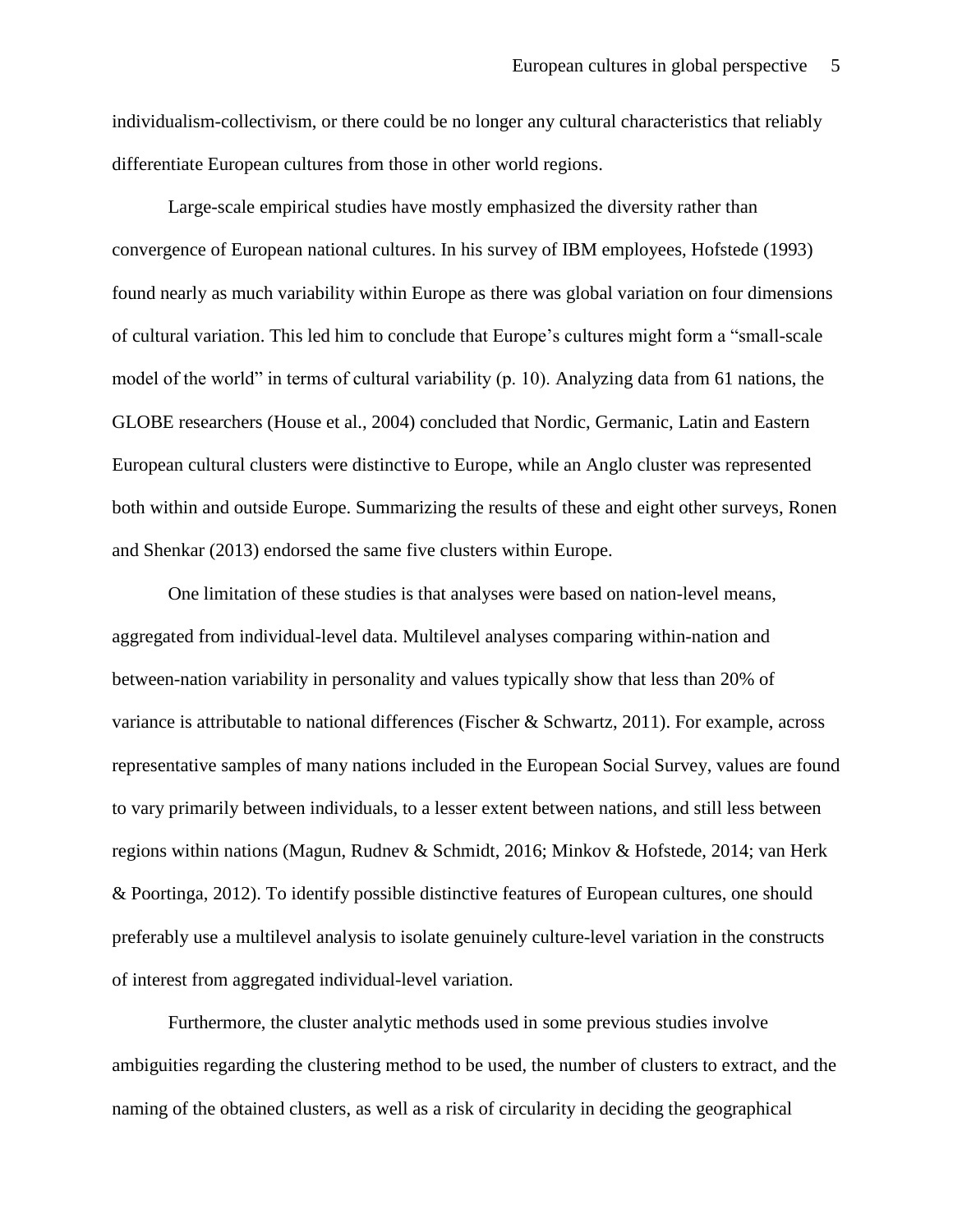individualism-collectivism, or there could be no longer any cultural characteristics that reliably differentiate European cultures from those in other world regions.

Large-scale empirical studies have mostly emphasized the diversity rather than convergence of European national cultures. In his survey of IBM employees, Hofstede (1993) found nearly as much variability within Europe as there was global variation on four dimensions of cultural variation. This led him to conclude that Europe's cultures might form a "small-scale model of the world" in terms of cultural variability (p. 10). Analyzing data from 61 nations, the GLOBE researchers (House et al., 2004) concluded that Nordic, Germanic, Latin and Eastern European cultural clusters were distinctive to Europe, while an Anglo cluster was represented both within and outside Europe. Summarizing the results of these and eight other surveys, Ronen and Shenkar (2013) endorsed the same five clusters within Europe.

One limitation of these studies is that analyses were based on nation-level means, aggregated from individual-level data. Multilevel analyses comparing within-nation and between-nation variability in personality and values typically show that less than 20% of variance is attributable to national differences (Fischer & Schwartz, 2011). For example, across representative samples of many nations included in the European Social Survey, values are found to vary primarily between individuals, to a lesser extent between nations, and still less between regions within nations (Magun, Rudnev & Schmidt, 2016; Minkov & Hofstede, 2014; van Herk & Poortinga, 2012). To identify possible distinctive features of European cultures, one should preferably use a multilevel analysis to isolate genuinely culture-level variation in the constructs of interest from aggregated individual-level variation.

Furthermore, the cluster analytic methods used in some previous studies involve ambiguities regarding the clustering method to be used, the number of clusters to extract, and the naming of the obtained clusters, as well as a risk of circularity in deciding the geographical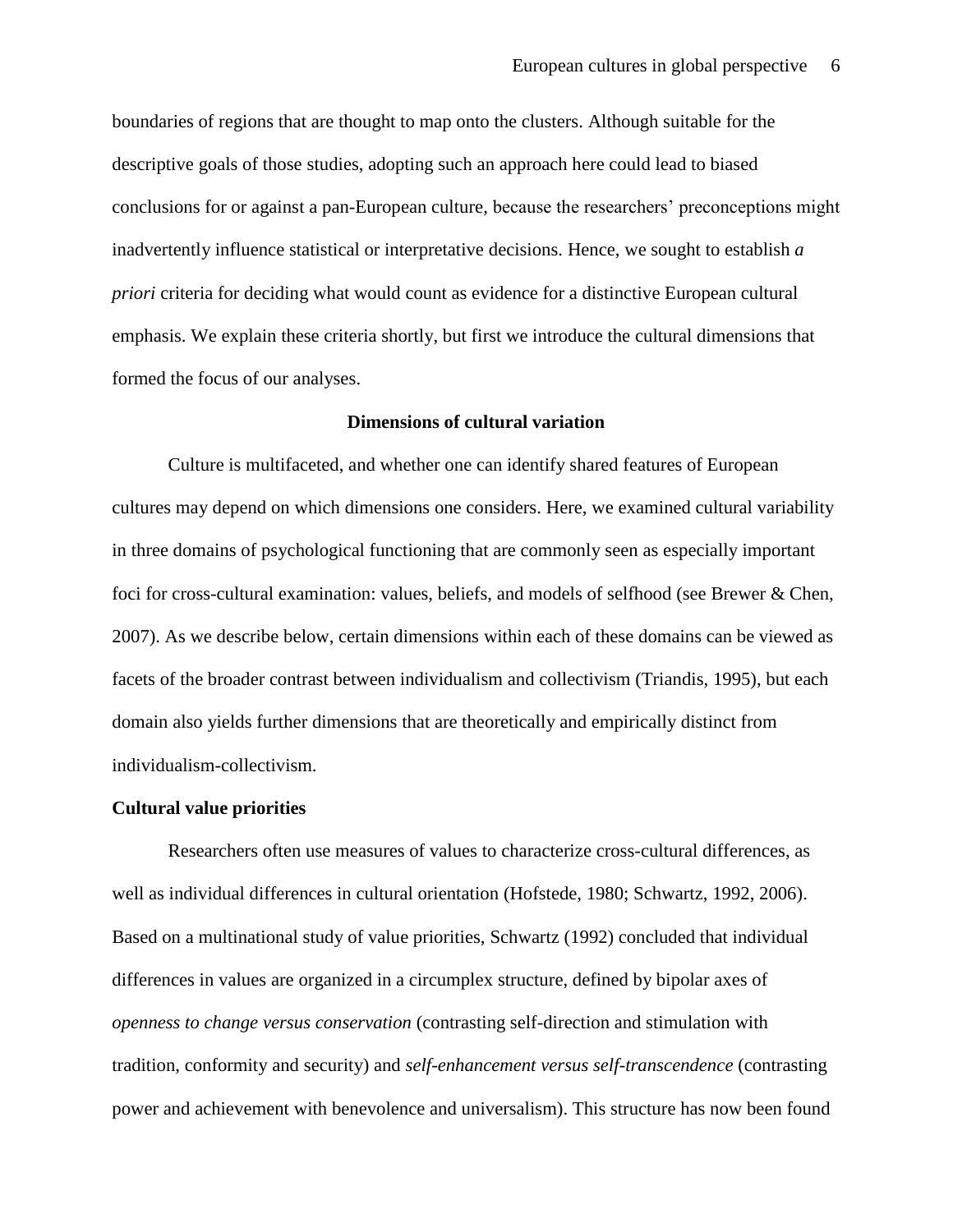boundaries of regions that are thought to map onto the clusters. Although suitable for the descriptive goals of those studies, adopting such an approach here could lead to biased conclusions for or against a pan-European culture, because the researchers' preconceptions might inadvertently influence statistical or interpretative decisions. Hence, we sought to establish *a priori* criteria for deciding what would count as evidence for a distinctive European cultural emphasis. We explain these criteria shortly, but first we introduce the cultural dimensions that formed the focus of our analyses.

## **Dimensions of cultural variation**

Culture is multifaceted, and whether one can identify shared features of European cultures may depend on which dimensions one considers. Here, we examined cultural variability in three domains of psychological functioning that are commonly seen as especially important foci for cross-cultural examination: values, beliefs, and models of selfhood (see Brewer & Chen, 2007). As we describe below, certain dimensions within each of these domains can be viewed as facets of the broader contrast between individualism and collectivism (Triandis, 1995), but each domain also yields further dimensions that are theoretically and empirically distinct from individualism-collectivism.

#### **Cultural value priorities**

Researchers often use measures of values to characterize cross-cultural differences, as well as individual differences in cultural orientation (Hofstede, 1980; Schwartz, 1992, 2006). Based on a multinational study of value priorities, Schwartz (1992) concluded that individual differences in values are organized in a circumplex structure, defined by bipolar axes of *openness to change versus conservation* (contrasting self-direction and stimulation with tradition, conformity and security) and *self-enhancement versus self-transcendence* (contrasting power and achievement with benevolence and universalism). This structure has now been found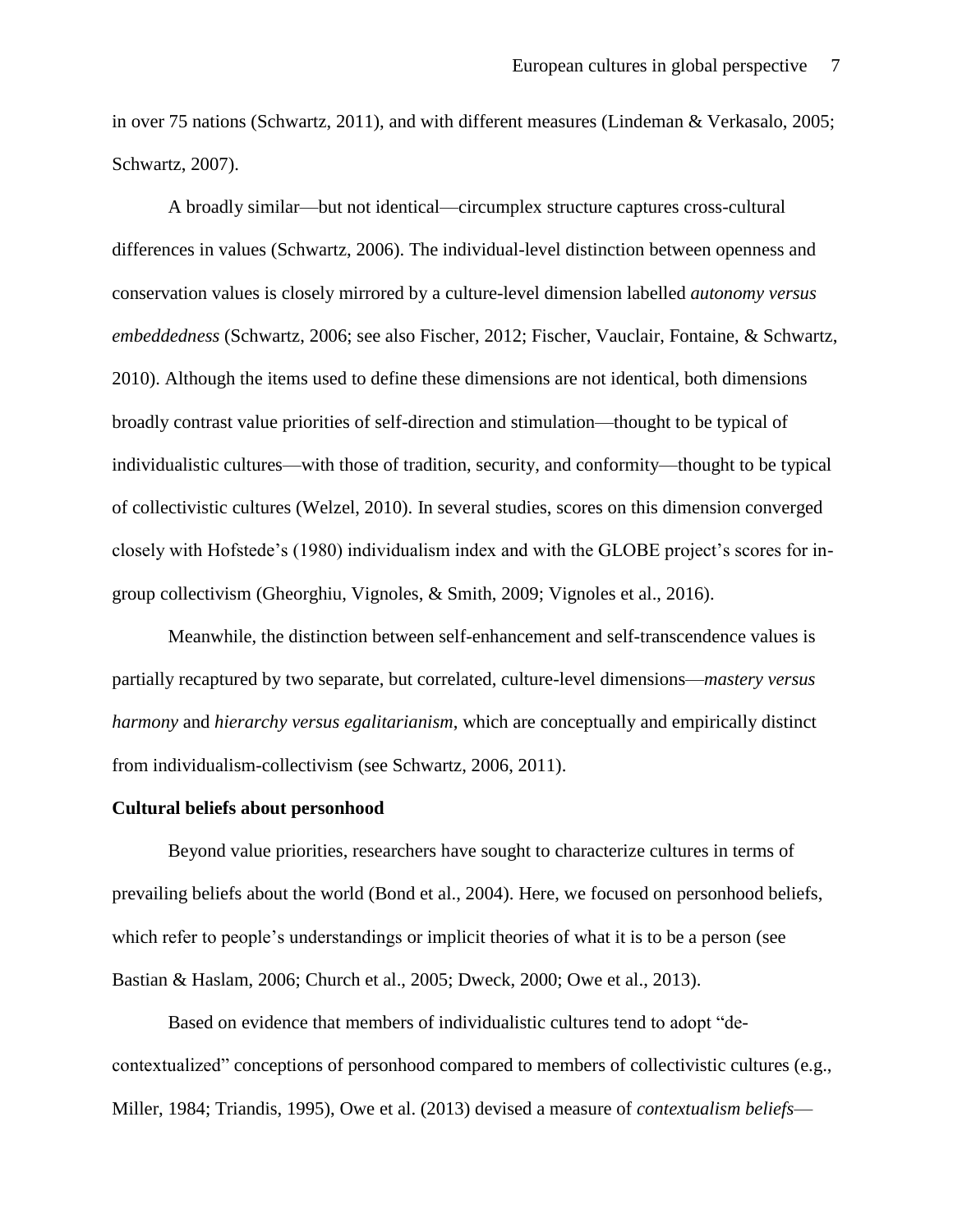in over 75 nations (Schwartz, 2011), and with different measures (Lindeman & Verkasalo, 2005; Schwartz, 2007).

A broadly similar—but not identical—circumplex structure captures cross-cultural differences in values (Schwartz, 2006). The individual-level distinction between openness and conservation values is closely mirrored by a culture-level dimension labelled *autonomy versus embeddedness* (Schwartz, 2006; see also Fischer, 2012; Fischer, Vauclair, Fontaine, & Schwartz, 2010). Although the items used to define these dimensions are not identical, both dimensions broadly contrast value priorities of self-direction and stimulation—thought to be typical of individualistic cultures—with those of tradition, security, and conformity—thought to be typical of collectivistic cultures (Welzel, 2010). In several studies, scores on this dimension converged closely with Hofstede's (1980) individualism index and with the GLOBE project's scores for ingroup collectivism (Gheorghiu, Vignoles, & Smith, 2009; Vignoles et al., 2016).

Meanwhile, the distinction between self-enhancement and self-transcendence values is partially recaptured by two separate, but correlated, culture-level dimensions—*mastery versus harmony* and *hierarchy versus egalitarianism*, which are conceptually and empirically distinct from individualism-collectivism (see Schwartz, 2006, 2011).

#### **Cultural beliefs about personhood**

Beyond value priorities, researchers have sought to characterize cultures in terms of prevailing beliefs about the world (Bond et al., 2004). Here, we focused on personhood beliefs, which refer to people's understandings or implicit theories of what it is to be a person (see Bastian & Haslam, 2006; Church et al., 2005; Dweck, 2000; Owe et al., 2013).

Based on evidence that members of individualistic cultures tend to adopt "decontextualized" conceptions of personhood compared to members of collectivistic cultures (e.g., Miller, 1984; Triandis, 1995), Owe et al. (2013) devised a measure of *contextualism beliefs*—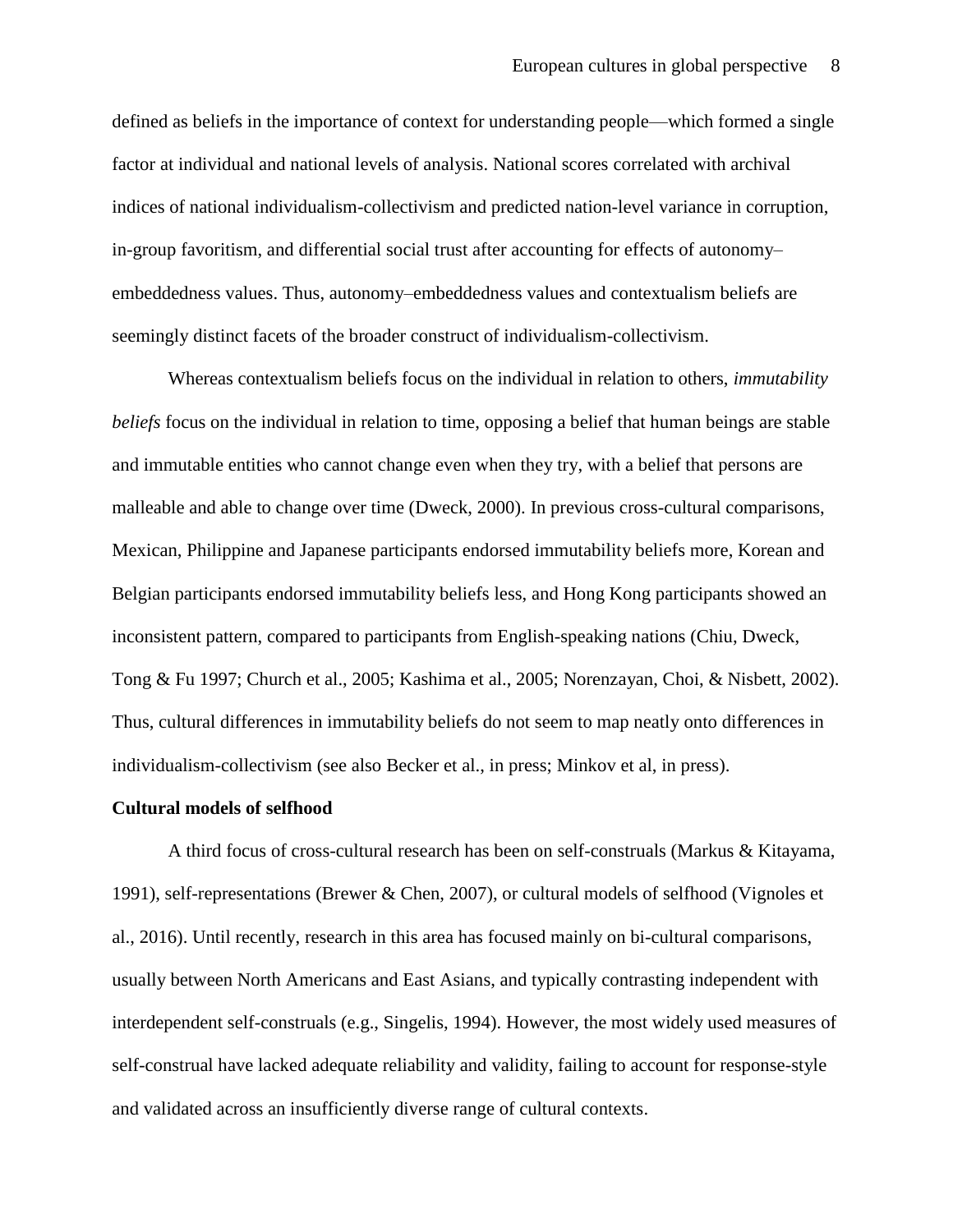defined as beliefs in the importance of context for understanding people—which formed a single factor at individual and national levels of analysis. National scores correlated with archival indices of national individualism-collectivism and predicted nation-level variance in corruption, in-group favoritism, and differential social trust after accounting for effects of autonomy– embeddedness values. Thus, autonomy–embeddedness values and contextualism beliefs are seemingly distinct facets of the broader construct of individualism-collectivism.

Whereas contextualism beliefs focus on the individual in relation to others, *immutability beliefs* focus on the individual in relation to time, opposing a belief that human beings are stable and immutable entities who cannot change even when they try, with a belief that persons are malleable and able to change over time (Dweck, 2000). In previous cross-cultural comparisons, Mexican, Philippine and Japanese participants endorsed immutability beliefs more, Korean and Belgian participants endorsed immutability beliefs less, and Hong Kong participants showed an inconsistent pattern, compared to participants from English-speaking nations (Chiu, Dweck, Tong & Fu 1997; Church et al., 2005; Kashima et al., 2005; Norenzayan, Choi, & Nisbett, 2002). Thus, cultural differences in immutability beliefs do not seem to map neatly onto differences in individualism-collectivism (see also Becker et al., in press; Minkov et al, in press).

## **Cultural models of selfhood**

A third focus of cross-cultural research has been on self-construals (Markus & Kitayama, 1991), self-representations (Brewer & Chen, 2007), or cultural models of selfhood (Vignoles et al., 2016). Until recently, research in this area has focused mainly on bi-cultural comparisons, usually between North Americans and East Asians, and typically contrasting independent with interdependent self-construals (e.g., Singelis, 1994). However, the most widely used measures of self-construal have lacked adequate reliability and validity, failing to account for response-style and validated across an insufficiently diverse range of cultural contexts.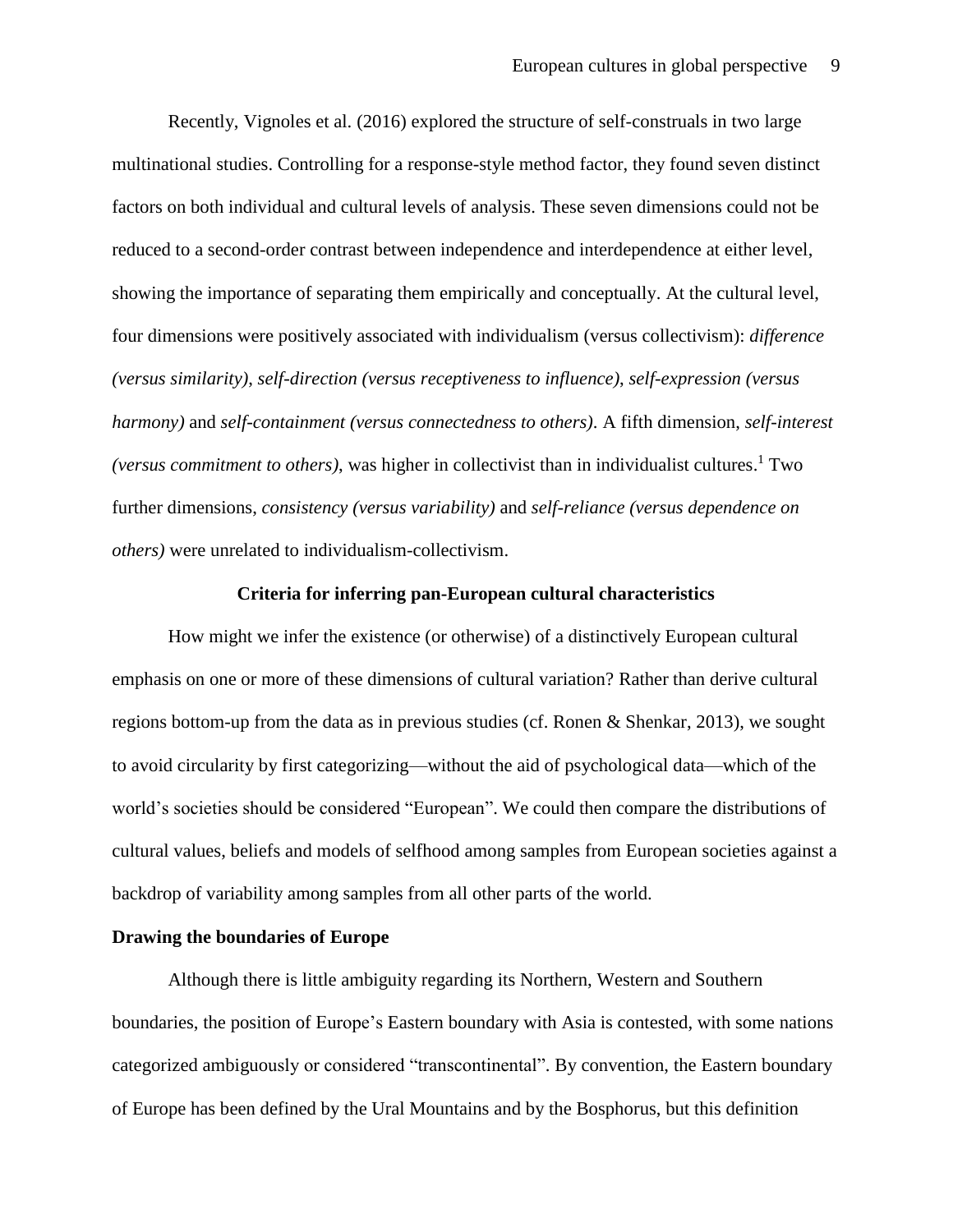Recently, Vignoles et al. (2016) explored the structure of self-construals in two large multinational studies. Controlling for a response-style method factor, they found seven distinct factors on both individual and cultural levels of analysis. These seven dimensions could not be reduced to a second-order contrast between independence and interdependence at either level, showing the importance of separating them empirically and conceptually. At the cultural level, four dimensions were positively associated with individualism (versus collectivism): *difference (versus similarity)*, *self-direction (versus receptiveness to influence)*, *self-expression (versus harmony)* and *self-containment (versus connectedness to others)*. A fifth dimension, *self-interest (versus commitment to others)*, was higher in collectivist than in individualist cultures. <sup>1</sup> Two further dimensions, *consistency (versus variability)* and *self-reliance (versus dependence on others)* were unrelated to individualism-collectivism.

#### **Criteria for inferring pan-European cultural characteristics**

How might we infer the existence (or otherwise) of a distinctively European cultural emphasis on one or more of these dimensions of cultural variation? Rather than derive cultural regions bottom-up from the data as in previous studies (cf. Ronen & Shenkar, 2013), we sought to avoid circularity by first categorizing—without the aid of psychological data—which of the world's societies should be considered "European". We could then compare the distributions of cultural values, beliefs and models of selfhood among samples from European societies against a backdrop of variability among samples from all other parts of the world.

#### **Drawing the boundaries of Europe**

Although there is little ambiguity regarding its Northern, Western and Southern boundaries, the position of Europe's Eastern boundary with Asia is contested, with some nations categorized ambiguously or considered "transcontinental". By convention, the Eastern boundary of Europe has been defined by the Ural Mountains and by the Bosphorus, but this definition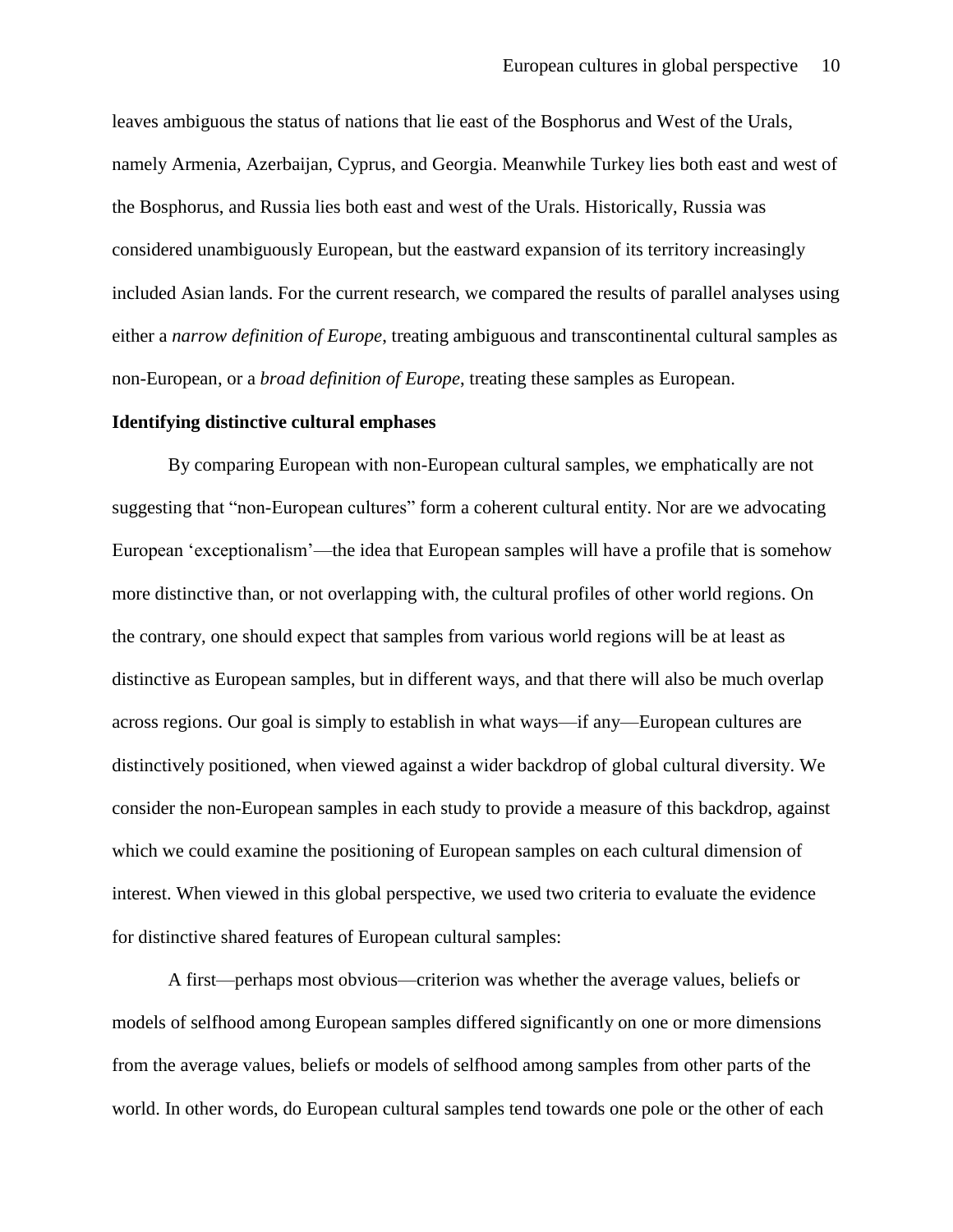leaves ambiguous the status of nations that lie east of the Bosphorus and West of the Urals, namely Armenia, Azerbaijan, Cyprus, and Georgia. Meanwhile Turkey lies both east and west of the Bosphorus, and Russia lies both east and west of the Urals. Historically, Russia was considered unambiguously European, but the eastward expansion of its territory increasingly included Asian lands. For the current research, we compared the results of parallel analyses using either a *narrow definition of Europe*, treating ambiguous and transcontinental cultural samples as non-European, or a *broad definition of Europe*, treating these samples as European.

## **Identifying distinctive cultural emphases**

By comparing European with non-European cultural samples, we emphatically are not suggesting that "non-European cultures" form a coherent cultural entity. Nor are we advocating European 'exceptionalism'—the idea that European samples will have a profile that is somehow more distinctive than, or not overlapping with, the cultural profiles of other world regions. On the contrary, one should expect that samples from various world regions will be at least as distinctive as European samples, but in different ways, and that there will also be much overlap across regions. Our goal is simply to establish in what ways—if any—European cultures are distinctively positioned, when viewed against a wider backdrop of global cultural diversity. We consider the non-European samples in each study to provide a measure of this backdrop, against which we could examine the positioning of European samples on each cultural dimension of interest. When viewed in this global perspective, we used two criteria to evaluate the evidence for distinctive shared features of European cultural samples:

A first—perhaps most obvious—criterion was whether the average values, beliefs or models of selfhood among European samples differed significantly on one or more dimensions from the average values, beliefs or models of selfhood among samples from other parts of the world. In other words, do European cultural samples tend towards one pole or the other of each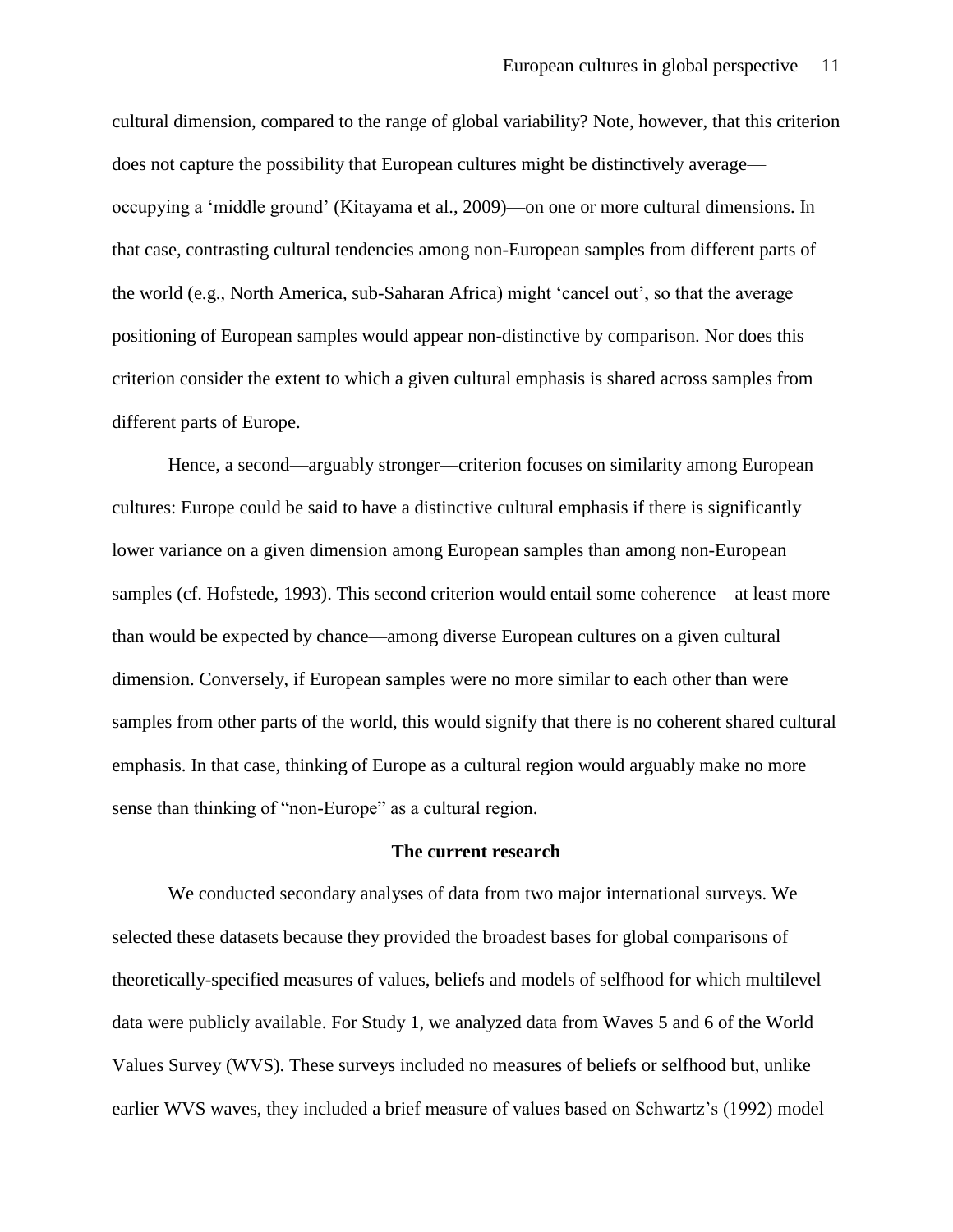cultural dimension, compared to the range of global variability? Note, however, that this criterion does not capture the possibility that European cultures might be distinctively average occupying a 'middle ground' (Kitayama et al., 2009)—on one or more cultural dimensions. In that case, contrasting cultural tendencies among non-European samples from different parts of the world (e.g., North America, sub-Saharan Africa) might 'cancel out', so that the average positioning of European samples would appear non-distinctive by comparison. Nor does this criterion consider the extent to which a given cultural emphasis is shared across samples from different parts of Europe.

Hence, a second—arguably stronger—criterion focuses on similarity among European cultures: Europe could be said to have a distinctive cultural emphasis if there is significantly lower variance on a given dimension among European samples than among non-European samples (cf. Hofstede, 1993). This second criterion would entail some coherence—at least more than would be expected by chance—among diverse European cultures on a given cultural dimension. Conversely, if European samples were no more similar to each other than were samples from other parts of the world, this would signify that there is no coherent shared cultural emphasis. In that case, thinking of Europe as a cultural region would arguably make no more sense than thinking of "non-Europe" as a cultural region.

#### **The current research**

We conducted secondary analyses of data from two major international surveys. We selected these datasets because they provided the broadest bases for global comparisons of theoretically-specified measures of values, beliefs and models of selfhood for which multilevel data were publicly available. For Study 1, we analyzed data from Waves 5 and 6 of the World Values Survey (WVS). These surveys included no measures of beliefs or selfhood but, unlike earlier WVS waves, they included a brief measure of values based on Schwartz's (1992) model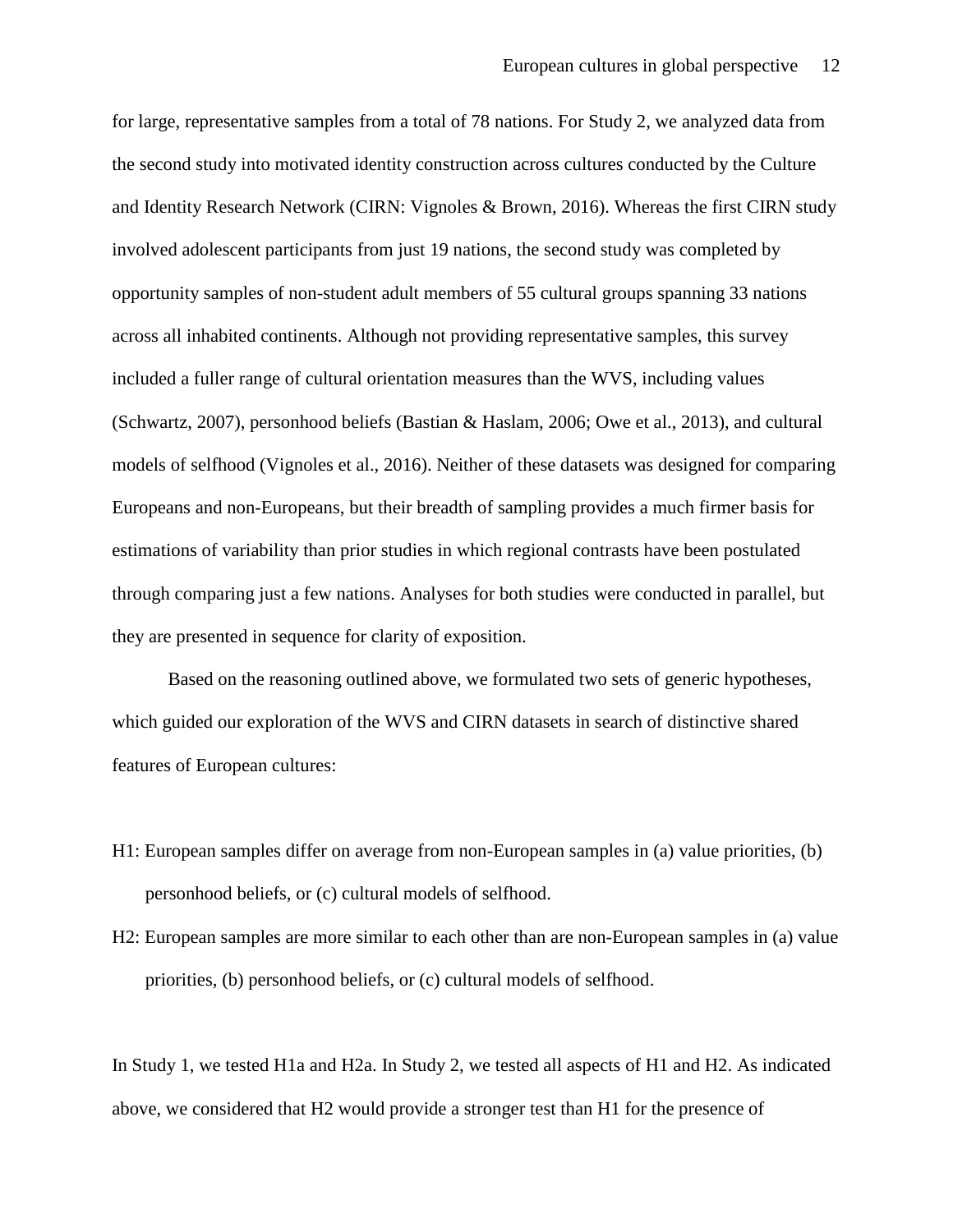for large, representative samples from a total of 78 nations. For Study 2, we analyzed data from the second study into motivated identity construction across cultures conducted by the Culture and Identity Research Network (CIRN: Vignoles & Brown, 2016). Whereas the first CIRN study involved adolescent participants from just 19 nations, the second study was completed by opportunity samples of non-student adult members of 55 cultural groups spanning 33 nations across all inhabited continents. Although not providing representative samples, this survey included a fuller range of cultural orientation measures than the WVS, including values (Schwartz, 2007), personhood beliefs (Bastian & Haslam, 2006; Owe et al., 2013), and cultural models of selfhood (Vignoles et al., 2016). Neither of these datasets was designed for comparing Europeans and non-Europeans, but their breadth of sampling provides a much firmer basis for estimations of variability than prior studies in which regional contrasts have been postulated through comparing just a few nations. Analyses for both studies were conducted in parallel, but they are presented in sequence for clarity of exposition.

Based on the reasoning outlined above, we formulated two sets of generic hypotheses, which guided our exploration of the WVS and CIRN datasets in search of distinctive shared features of European cultures:

- H1: European samples differ on average from non-European samples in (a) value priorities, (b) personhood beliefs, or (c) cultural models of selfhood.
- H2: European samples are more similar to each other than are non-European samples in (a) value priorities, (b) personhood beliefs, or (c) cultural models of selfhood.

In Study 1, we tested H1a and H2a. In Study 2, we tested all aspects of H1 and H2. As indicated above, we considered that H2 would provide a stronger test than H1 for the presence of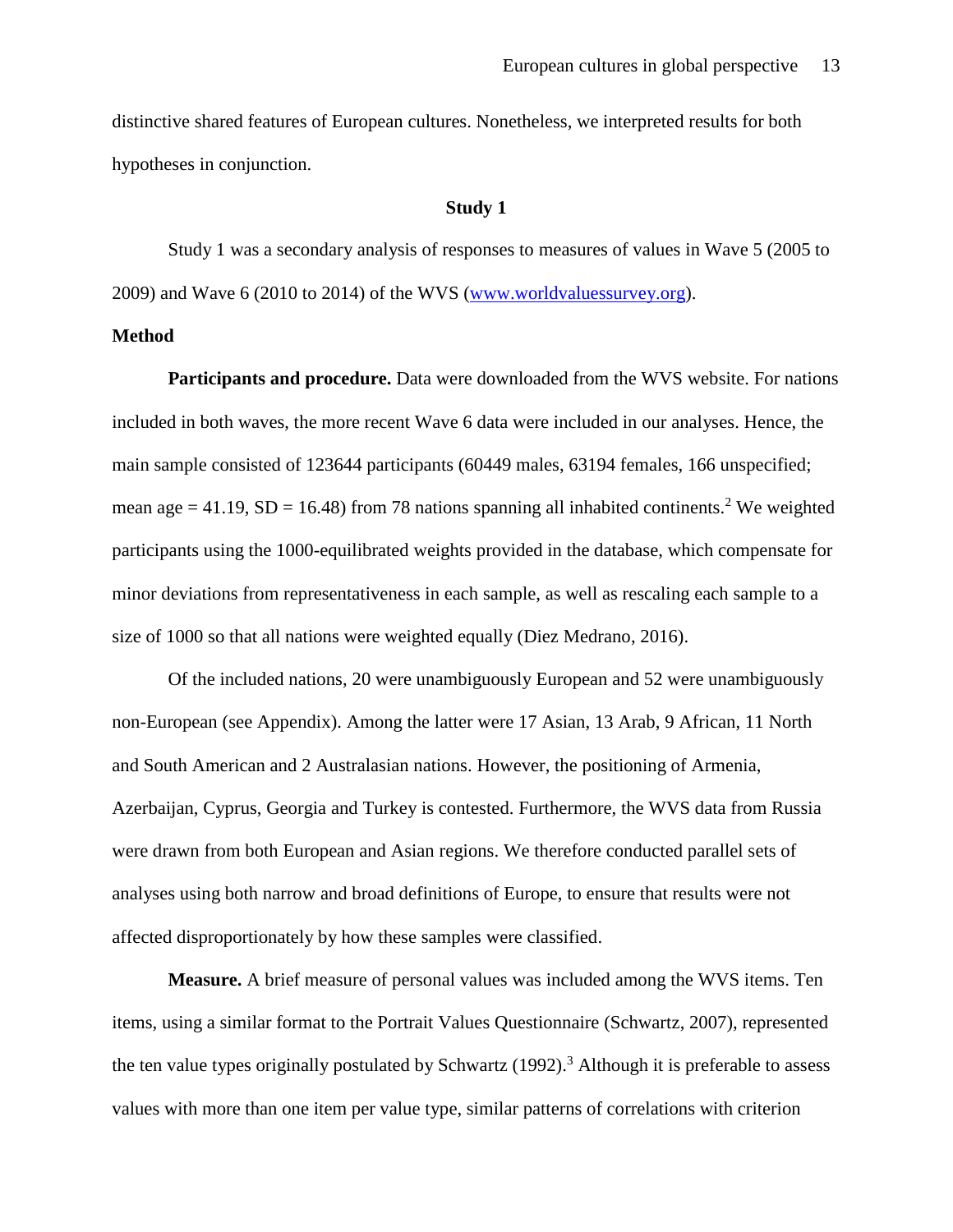distinctive shared features of European cultures. Nonetheless, we interpreted results for both hypotheses in conjunction.

## **Study 1**

Study 1 was a secondary analysis of responses to measures of values in Wave 5 (2005 to 2009) and Wave 6 (2010 to 2014) of the WVS [\(www.worldvaluessurvey.org\)](http://www.worldvaluessurvey.org/).

#### **Method**

**Participants and procedure.** Data were downloaded from the WVS website. For nations included in both waves, the more recent Wave 6 data were included in our analyses. Hence, the main sample consisted of 123644 participants (60449 males, 63194 females, 166 unspecified; mean age  $= 41.19$ , SD  $= 16.48$ ) from 78 nations spanning all inhabited continents.<sup>2</sup> We weighted participants using the 1000-equilibrated weights provided in the database, which compensate for minor deviations from representativeness in each sample, as well as rescaling each sample to a size of 1000 so that all nations were weighted equally (Diez Medrano, 2016).

Of the included nations, 20 were unambiguously European and 52 were unambiguously non-European (see Appendix). Among the latter were 17 Asian, 13 Arab, 9 African, 11 North and South American and 2 Australasian nations. However, the positioning of Armenia, Azerbaijan, Cyprus, Georgia and Turkey is contested. Furthermore, the WVS data from Russia were drawn from both European and Asian regions. We therefore conducted parallel sets of analyses using both narrow and broad definitions of Europe, to ensure that results were not affected disproportionately by how these samples were classified.

**Measure.** A brief measure of personal values was included among the WVS items. Ten items, using a similar format to the Portrait Values Questionnaire (Schwartz, 2007), represented the ten value types originally postulated by Schwartz (1992).<sup>3</sup> Although it is preferable to assess values with more than one item per value type, similar patterns of correlations with criterion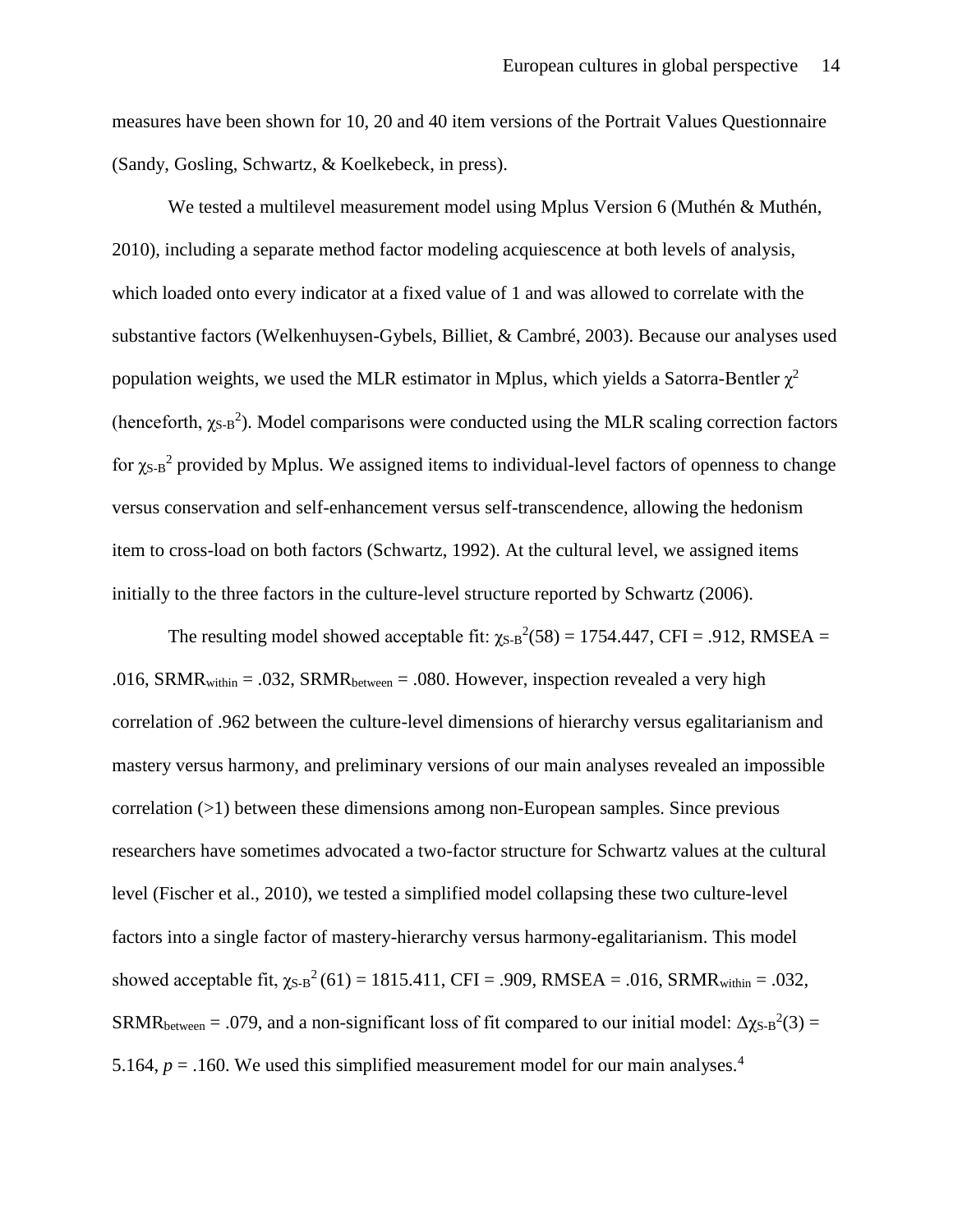measures have been shown for 10, 20 and 40 item versions of the Portrait Values Questionnaire (Sandy, Gosling, Schwartz, & Koelkebeck, in press).

We tested a multilevel measurement model using Mplus Version 6 (Muthén & Muthén, 2010), including a separate method factor modeling acquiescence at both levels of analysis, which loaded onto every indicator at a fixed value of 1 and was allowed to correlate with the substantive factors (Welkenhuysen-Gybels, Billiet, & Cambré, 2003). Because our analyses used population weights, we used the MLR estimator in Mplus, which yields a Satorra-Bentler  $\gamma^2$ (henceforth,  $\chi_{S-B}^2$ ). Model comparisons were conducted using the MLR scaling correction factors for  $\chi_{S-B}^2$  provided by Mplus. We assigned items to individual-level factors of openness to change versus conservation and self-enhancement versus self-transcendence, allowing the hedonism item to cross-load on both factors (Schwartz, 1992). At the cultural level, we assigned items initially to the three factors in the culture-level structure reported by Schwartz (2006).

The resulting model showed acceptable fit:  $\chi_{S-B}^2(58) = 1754.447$ , CFI = .912, RMSEA = .016, SRMR<sub>within</sub> = .032, SRMR<sub>between</sub> = .080. However, inspection revealed a very high correlation of .962 between the culture-level dimensions of hierarchy versus egalitarianism and mastery versus harmony, and preliminary versions of our main analyses revealed an impossible correlation  $(>1)$  between these dimensions among non-European samples. Since previous researchers have sometimes advocated a two-factor structure for Schwartz values at the cultural level (Fischer et al., 2010), we tested a simplified model collapsing these two culture-level factors into a single factor of mastery-hierarchy versus harmony-egalitarianism. This model showed acceptable fit,  $\chi_{S-B}^2(61) = 1815.411$ , CFI = .909, RMSEA = .016, SRMR<sub>within</sub> = .032, SRMR<sub>between</sub> = .079, and a non-significant loss of fit compared to our initial model:  $\Delta \chi_{S-B}^2(3)$  = 5.164,  $p = 0.160$ . We used this simplified measurement model for our main analyses.<sup>4</sup>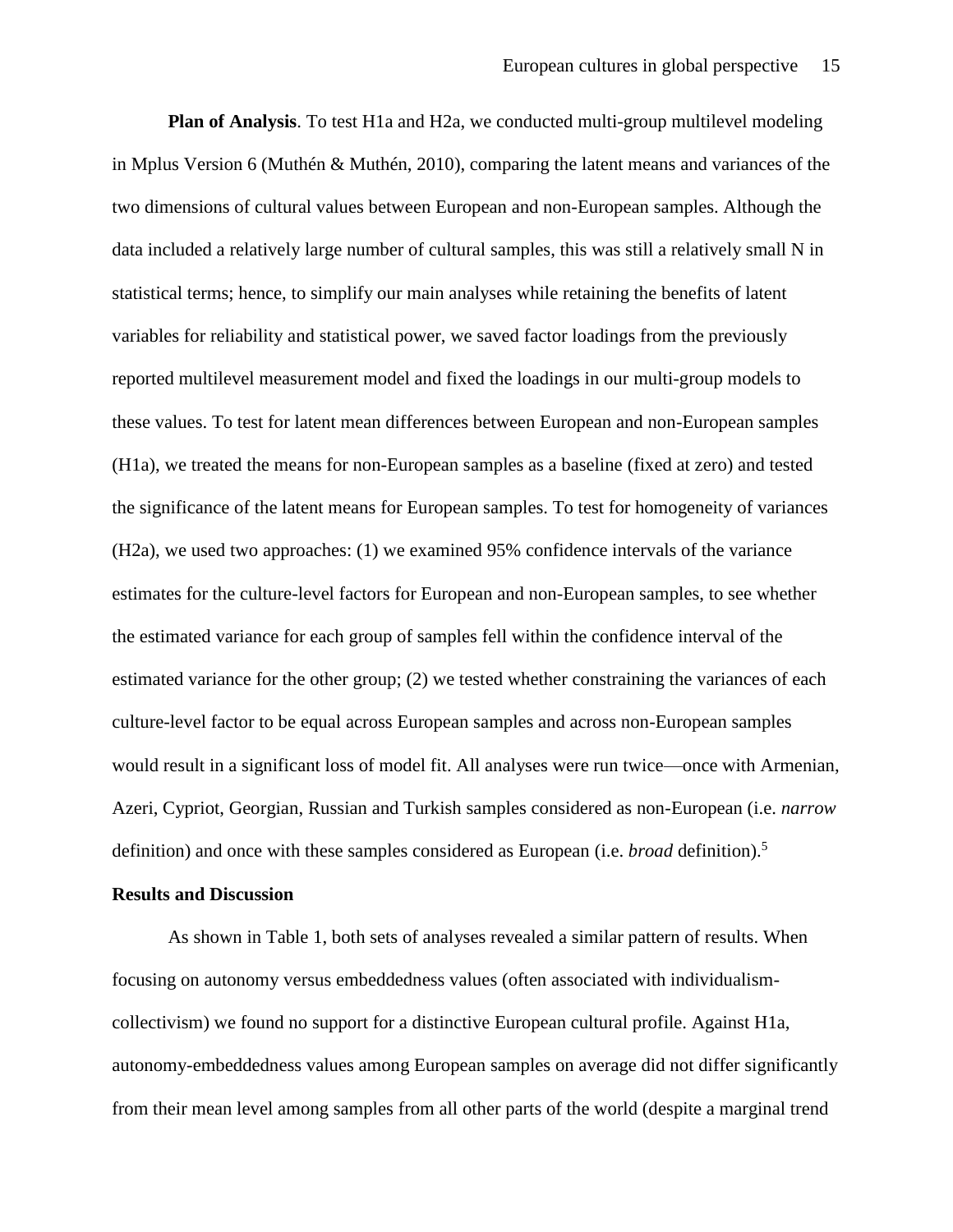**Plan of Analysis**. To test H1a and H2a, we conducted multi-group multilevel modeling in Mplus Version 6 (Muthén & Muthén, 2010), comparing the latent means and variances of the two dimensions of cultural values between European and non-European samples. Although the data included a relatively large number of cultural samples, this was still a relatively small N in statistical terms; hence, to simplify our main analyses while retaining the benefits of latent variables for reliability and statistical power, we saved factor loadings from the previously reported multilevel measurement model and fixed the loadings in our multi-group models to these values. To test for latent mean differences between European and non-European samples (H1a), we treated the means for non-European samples as a baseline (fixed at zero) and tested the significance of the latent means for European samples. To test for homogeneity of variances (H2a), we used two approaches: (1) we examined 95% confidence intervals of the variance estimates for the culture-level factors for European and non-European samples, to see whether the estimated variance for each group of samples fell within the confidence interval of the estimated variance for the other group; (2) we tested whether constraining the variances of each culture-level factor to be equal across European samples and across non-European samples would result in a significant loss of model fit. All analyses were run twice—once with Armenian, Azeri, Cypriot, Georgian, Russian and Turkish samples considered as non-European (i.e. *narrow* definition) and once with these samples considered as European (i.e. *broad* definition). 5

## **Results and Discussion**

As shown in Table 1, both sets of analyses revealed a similar pattern of results. When focusing on autonomy versus embeddedness values (often associated with individualismcollectivism) we found no support for a distinctive European cultural profile. Against H1a, autonomy-embeddedness values among European samples on average did not differ significantly from their mean level among samples from all other parts of the world (despite a marginal trend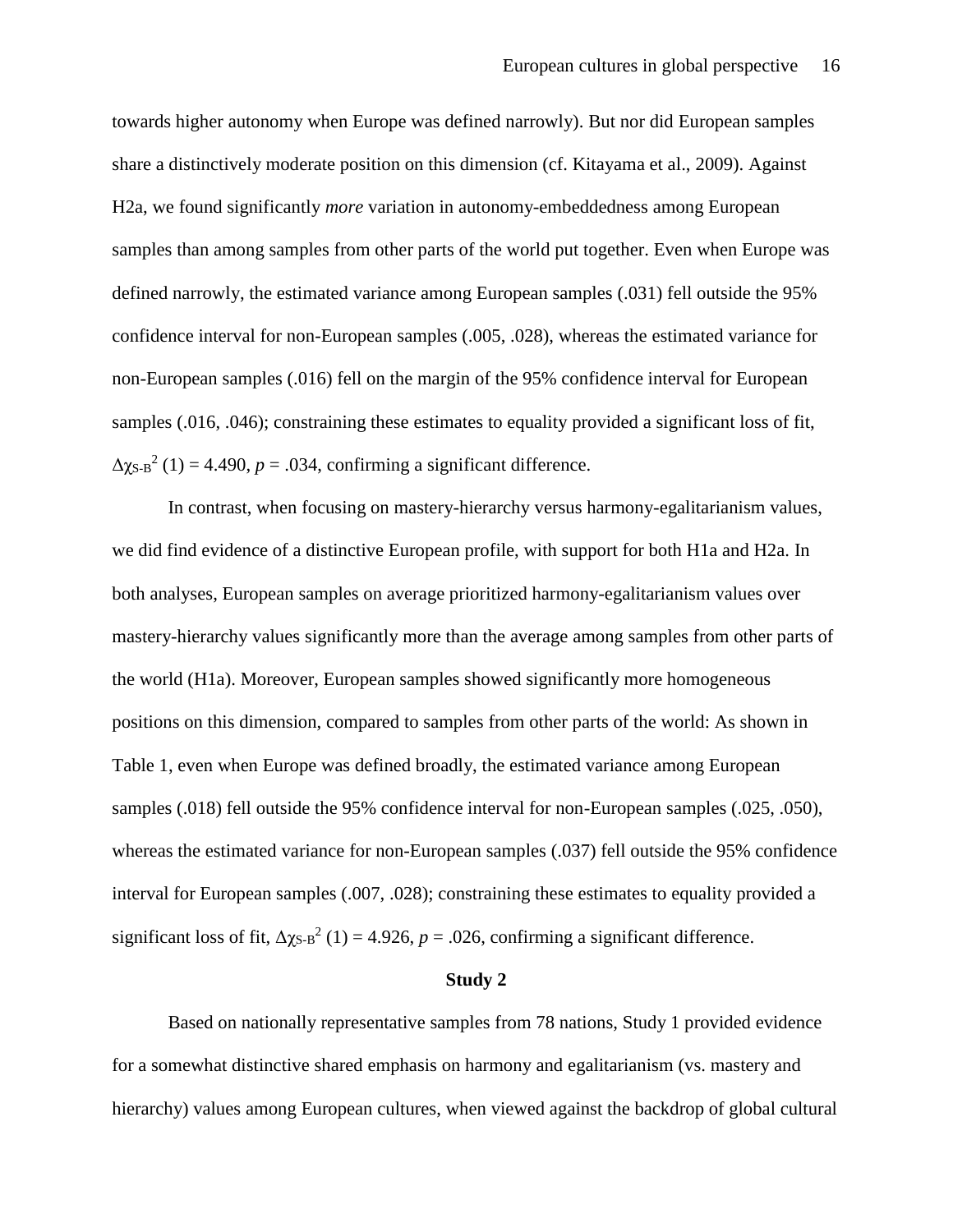towards higher autonomy when Europe was defined narrowly). But nor did European samples share a distinctively moderate position on this dimension (cf. Kitayama et al., 2009). Against H2a, we found significantly *more* variation in autonomy-embeddedness among European samples than among samples from other parts of the world put together. Even when Europe was defined narrowly, the estimated variance among European samples (.031) fell outside the 95% confidence interval for non-European samples (.005, .028), whereas the estimated variance for non-European samples (.016) fell on the margin of the 95% confidence interval for European samples (.016, .046); constraining these estimates to equality provided a significant loss of fit,  $\Delta$ x<sub>S-B</sub><sup>2</sup> (1) = 4.490, *p* = .034, confirming a significant difference.

In contrast, when focusing on mastery-hierarchy versus harmony-egalitarianism values, we did find evidence of a distinctive European profile, with support for both H1a and H2a. In both analyses, European samples on average prioritized harmony-egalitarianism values over mastery-hierarchy values significantly more than the average among samples from other parts of the world (H1a). Moreover, European samples showed significantly more homogeneous positions on this dimension, compared to samples from other parts of the world: As shown in Table 1, even when Europe was defined broadly, the estimated variance among European samples (.018) fell outside the 95% confidence interval for non-European samples (.025, .050), whereas the estimated variance for non-European samples (.037) fell outside the 95% confidence interval for European samples (.007, .028); constraining these estimates to equality provided a significant loss of fit,  $\Delta \chi_{S-B}^2$  (1) = 4.926, *p* = .026, confirming a significant difference.

#### **Study 2**

Based on nationally representative samples from 78 nations, Study 1 provided evidence for a somewhat distinctive shared emphasis on harmony and egalitarianism (vs. mastery and hierarchy) values among European cultures, when viewed against the backdrop of global cultural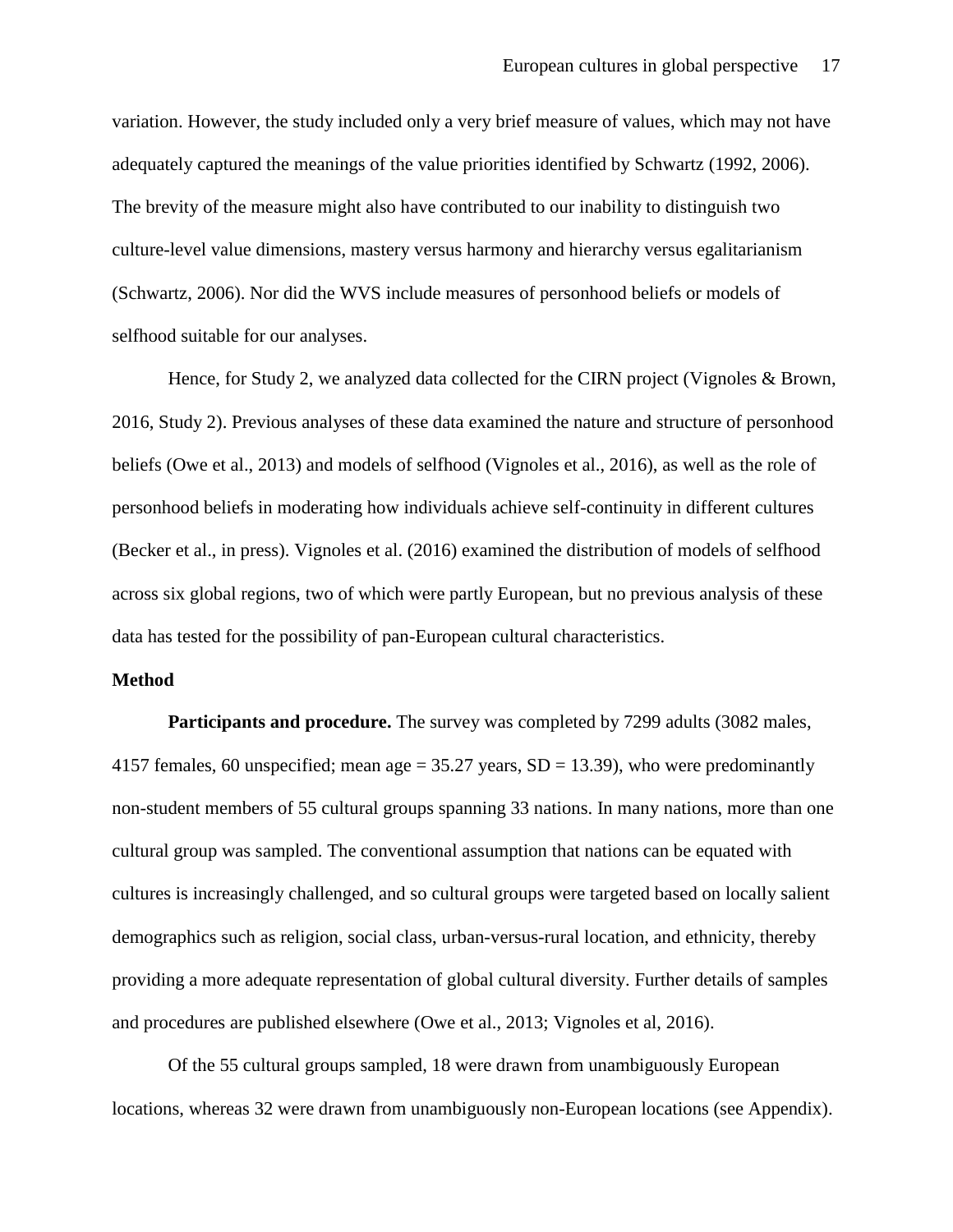variation. However, the study included only a very brief measure of values, which may not have adequately captured the meanings of the value priorities identified by Schwartz (1992, 2006). The brevity of the measure might also have contributed to our inability to distinguish two culture-level value dimensions, mastery versus harmony and hierarchy versus egalitarianism (Schwartz, 2006). Nor did the WVS include measures of personhood beliefs or models of selfhood suitable for our analyses.

Hence, for Study 2, we analyzed data collected for the CIRN project (Vignoles & Brown, 2016, Study 2). Previous analyses of these data examined the nature and structure of personhood beliefs (Owe et al., 2013) and models of selfhood (Vignoles et al., 2016), as well as the role of personhood beliefs in moderating how individuals achieve self-continuity in different cultures (Becker et al., in press). Vignoles et al. (2016) examined the distribution of models of selfhood across six global regions, two of which were partly European, but no previous analysis of these data has tested for the possibility of pan-European cultural characteristics.

## **Method**

**Participants and procedure.** The survey was completed by 7299 adults (3082 males, 4157 females, 60 unspecified; mean age  $= 35.27$  years, SD  $= 13.39$ ), who were predominantly non-student members of 55 cultural groups spanning 33 nations. In many nations, more than one cultural group was sampled. The conventional assumption that nations can be equated with cultures is increasingly challenged, and so cultural groups were targeted based on locally salient demographics such as religion, social class, urban-versus-rural location, and ethnicity, thereby providing a more adequate representation of global cultural diversity. Further details of samples and procedures are published elsewhere (Owe et al., 2013; Vignoles et al, 2016).

Of the 55 cultural groups sampled, 18 were drawn from unambiguously European locations, whereas 32 were drawn from unambiguously non-European locations (see Appendix).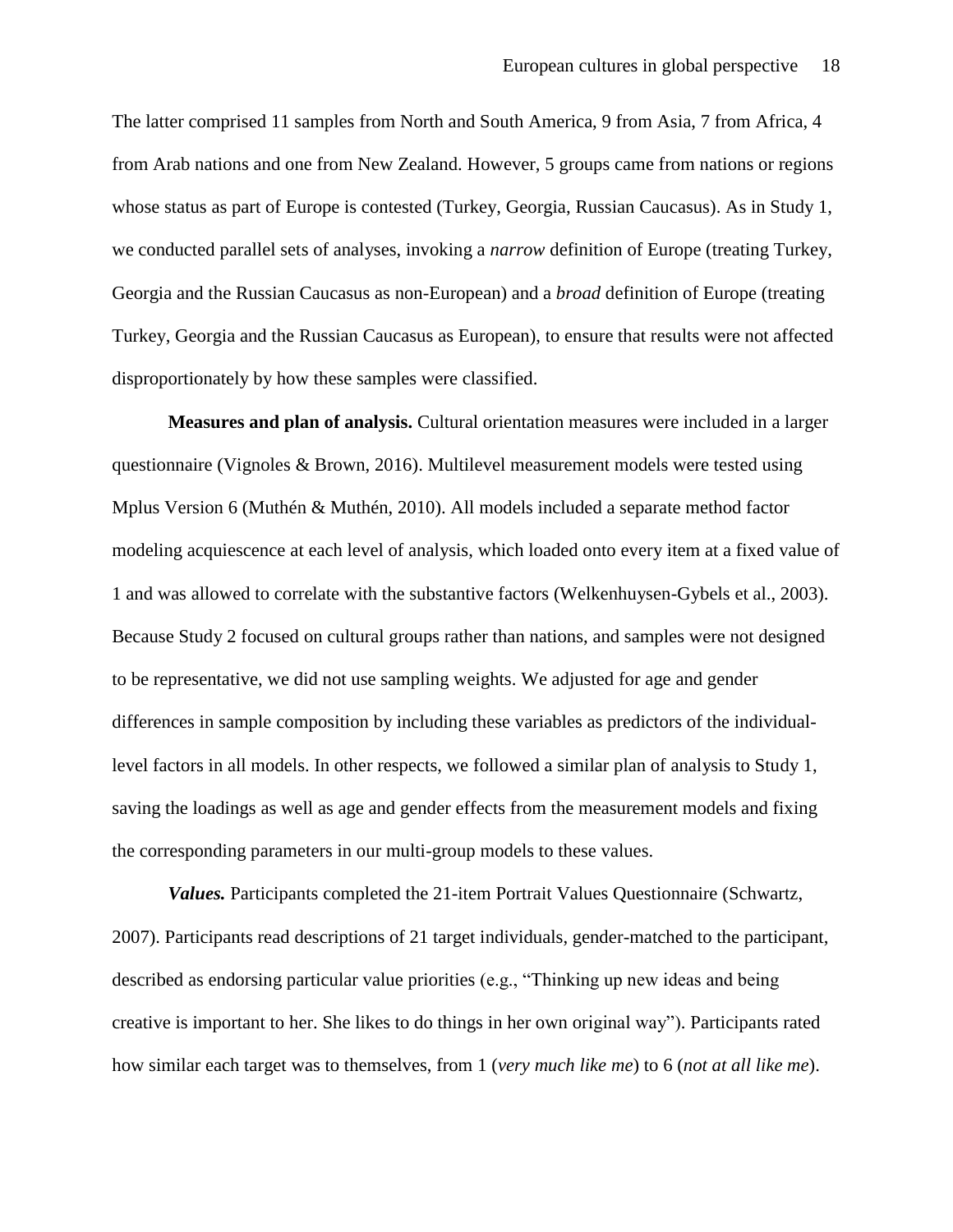The latter comprised 11 samples from North and South America, 9 from Asia, 7 from Africa, 4 from Arab nations and one from New Zealand. However, 5 groups came from nations or regions whose status as part of Europe is contested (Turkey, Georgia, Russian Caucasus). As in Study 1, we conducted parallel sets of analyses, invoking a *narrow* definition of Europe (treating Turkey, Georgia and the Russian Caucasus as non-European) and a *broad* definition of Europe (treating Turkey, Georgia and the Russian Caucasus as European), to ensure that results were not affected disproportionately by how these samples were classified.

**Measures and plan of analysis.** Cultural orientation measures were included in a larger questionnaire (Vignoles & Brown, 2016). Multilevel measurement models were tested using Mplus Version 6 (Muthén & Muthén, 2010). All models included a separate method factor modeling acquiescence at each level of analysis, which loaded onto every item at a fixed value of 1 and was allowed to correlate with the substantive factors (Welkenhuysen-Gybels et al., 2003). Because Study 2 focused on cultural groups rather than nations, and samples were not designed to be representative, we did not use sampling weights. We adjusted for age and gender differences in sample composition by including these variables as predictors of the individuallevel factors in all models. In other respects, we followed a similar plan of analysis to Study 1, saving the loadings as well as age and gender effects from the measurement models and fixing the corresponding parameters in our multi-group models to these values.

*Values.* Participants completed the 21-item Portrait Values Questionnaire (Schwartz, 2007). Participants read descriptions of 21 target individuals, gender-matched to the participant, described as endorsing particular value priorities (e.g., "Thinking up new ideas and being creative is important to her. She likes to do things in her own original way"). Participants rated how similar each target was to themselves, from 1 (*very much like me*) to 6 (*not at all like me*).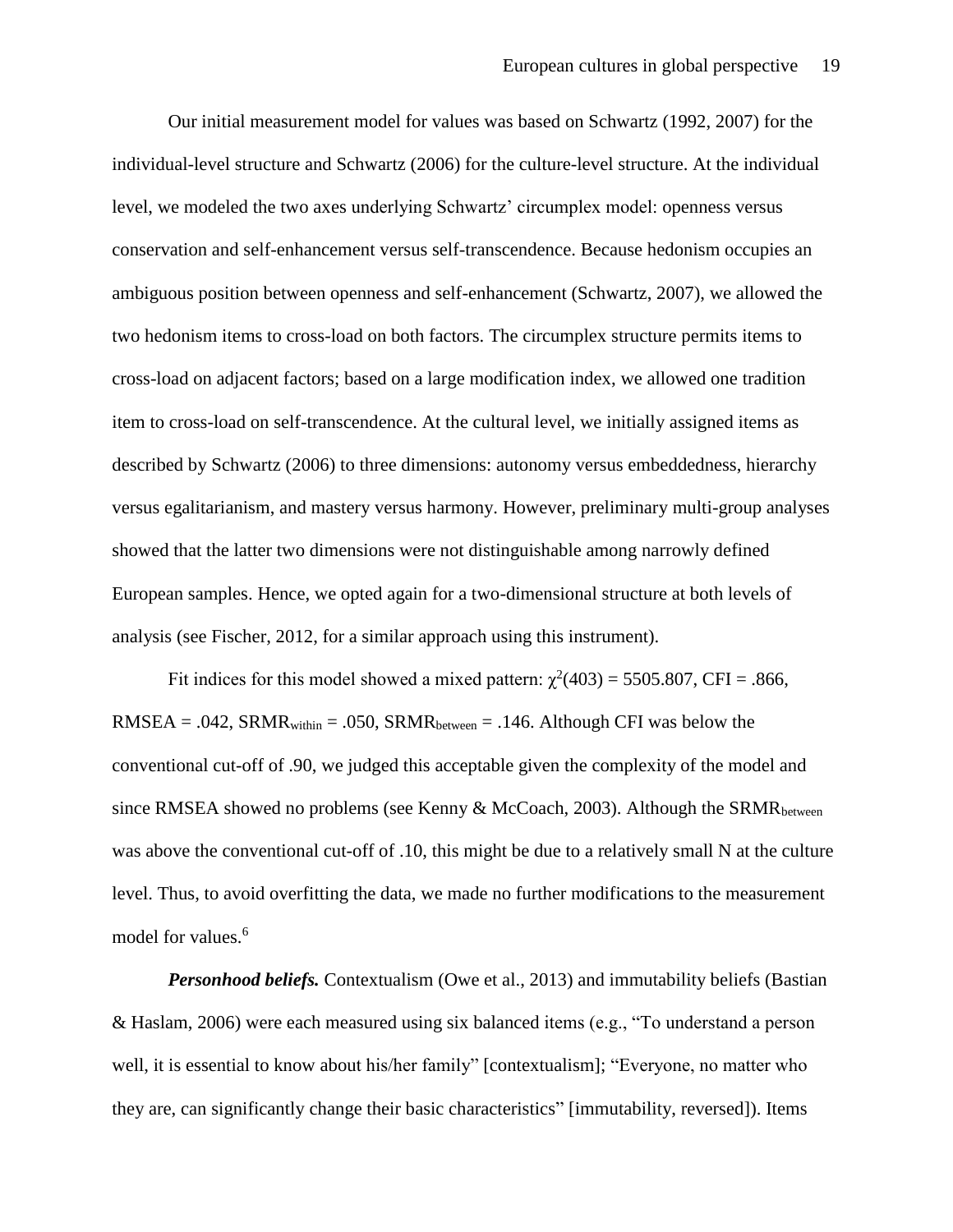Our initial measurement model for values was based on Schwartz (1992, 2007) for the individual-level structure and Schwartz (2006) for the culture-level structure. At the individual level, we modeled the two axes underlying Schwartz' circumplex model: openness versus conservation and self-enhancement versus self-transcendence. Because hedonism occupies an ambiguous position between openness and self-enhancement (Schwartz, 2007), we allowed the two hedonism items to cross-load on both factors. The circumplex structure permits items to cross-load on adjacent factors; based on a large modification index, we allowed one tradition item to cross-load on self-transcendence. At the cultural level, we initially assigned items as described by Schwartz (2006) to three dimensions: autonomy versus embeddedness, hierarchy versus egalitarianism, and mastery versus harmony. However, preliminary multi-group analyses showed that the latter two dimensions were not distinguishable among narrowly defined European samples. Hence, we opted again for a two-dimensional structure at both levels of analysis (see Fischer, 2012, for a similar approach using this instrument).

Fit indices for this model showed a mixed pattern:  $\chi^2(403) = 5505.807$ , CFI = .866,  $RMSEA = .042$ ,  $SRMR_{within} = .050$ ,  $SRMR_{between} = .146$ . Although CFI was below the conventional cut-off of .90, we judged this acceptable given the complexity of the model and since RMSEA showed no problems (see Kenny & McCoach, 2003). Although the SRMR<sub>between</sub> was above the conventional cut-off of .10, this might be due to a relatively small N at the culture level. Thus, to avoid overfitting the data, we made no further modifications to the measurement model for values.<sup>6</sup>

*Personhood beliefs.* Contextualism (Owe et al., 2013) and immutability beliefs (Bastian & Haslam, 2006) were each measured using six balanced items (e.g., "To understand a person well, it is essential to know about his/her family" [contextualism]; "Everyone, no matter who they are, can significantly change their basic characteristics" [immutability, reversed]). Items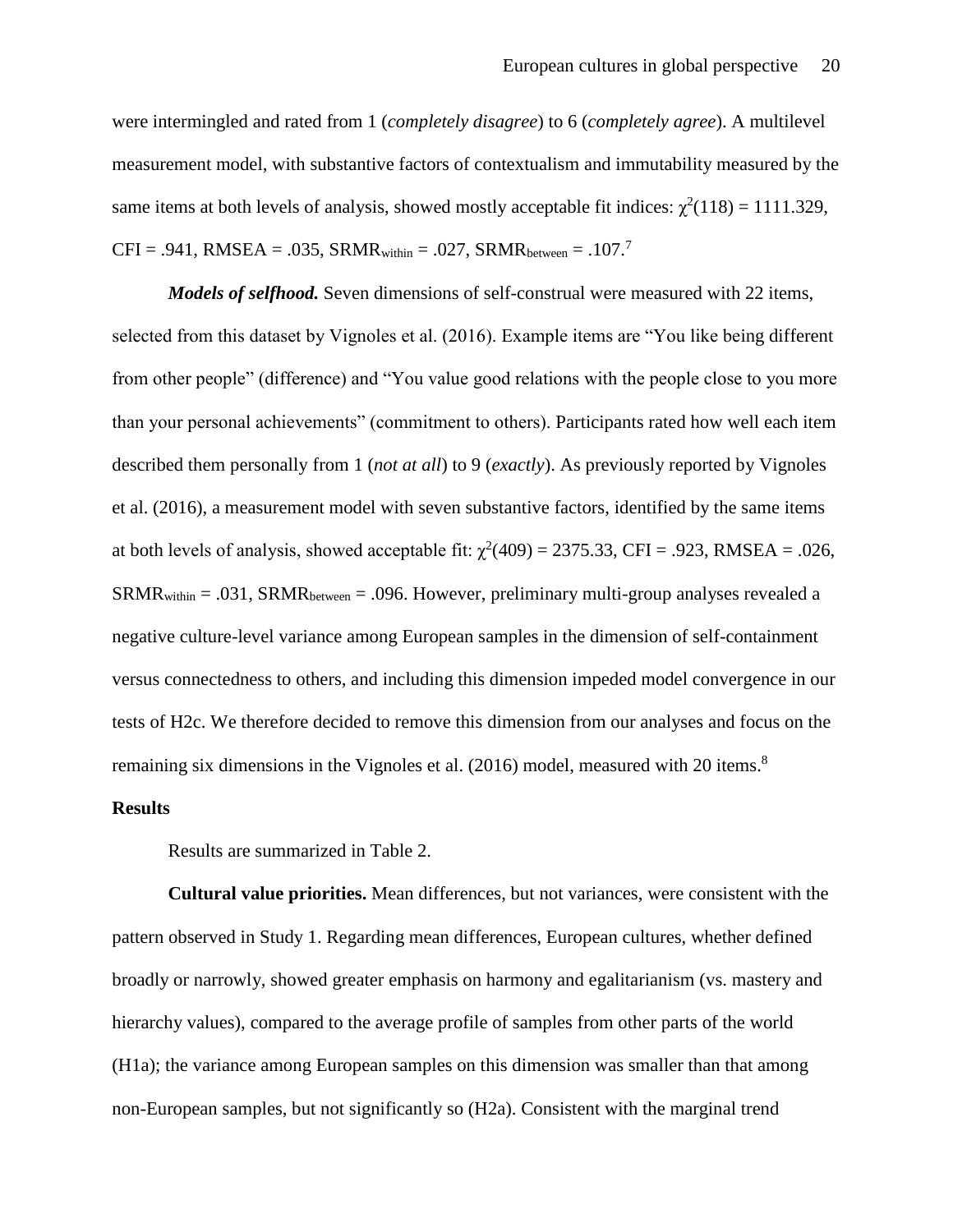were intermingled and rated from 1 (*completely disagree*) to 6 (*completely agree*). A multilevel measurement model, with substantive factors of contextualism and immutability measured by the same items at both levels of analysis, showed mostly acceptable fit indices:  $\chi^2(118) = 1111.329$ ,  $CFI = .941$ , RMSEA = .035, SRMR<sub>within</sub> = .027, SRMR<sub>between</sub> = .107.<sup>7</sup>

*Models of selfhood.* Seven dimensions of self-construal were measured with 22 items, selected from this dataset by Vignoles et al. (2016). Example items are "You like being different from other people" (difference) and "You value good relations with the people close to you more than your personal achievements" (commitment to others). Participants rated how well each item described them personally from 1 (*not at all*) to 9 (*exactly*). As previously reported by Vignoles et al. (2016), a measurement model with seven substantive factors, identified by the same items at both levels of analysis, showed acceptable fit:  $\chi^2(409) = 2375.33$ , CFI = .923, RMSEA = .026,  $SRMR_{within} = .031$ ,  $SRMR_{between} = .096$ . However, preliminary multi-group analyses revealed a negative culture-level variance among European samples in the dimension of self-containment versus connectedness to others, and including this dimension impeded model convergence in our tests of H2c. We therefore decided to remove this dimension from our analyses and focus on the remaining six dimensions in the Vignoles et al. (2016) model, measured with 20 items.<sup>8</sup>

## **Results**

Results are summarized in Table 2.

**Cultural value priorities.** Mean differences, but not variances, were consistent with the pattern observed in Study 1. Regarding mean differences, European cultures, whether defined broadly or narrowly, showed greater emphasis on harmony and egalitarianism (vs. mastery and hierarchy values), compared to the average profile of samples from other parts of the world (H1a); the variance among European samples on this dimension was smaller than that among non-European samples, but not significantly so (H2a). Consistent with the marginal trend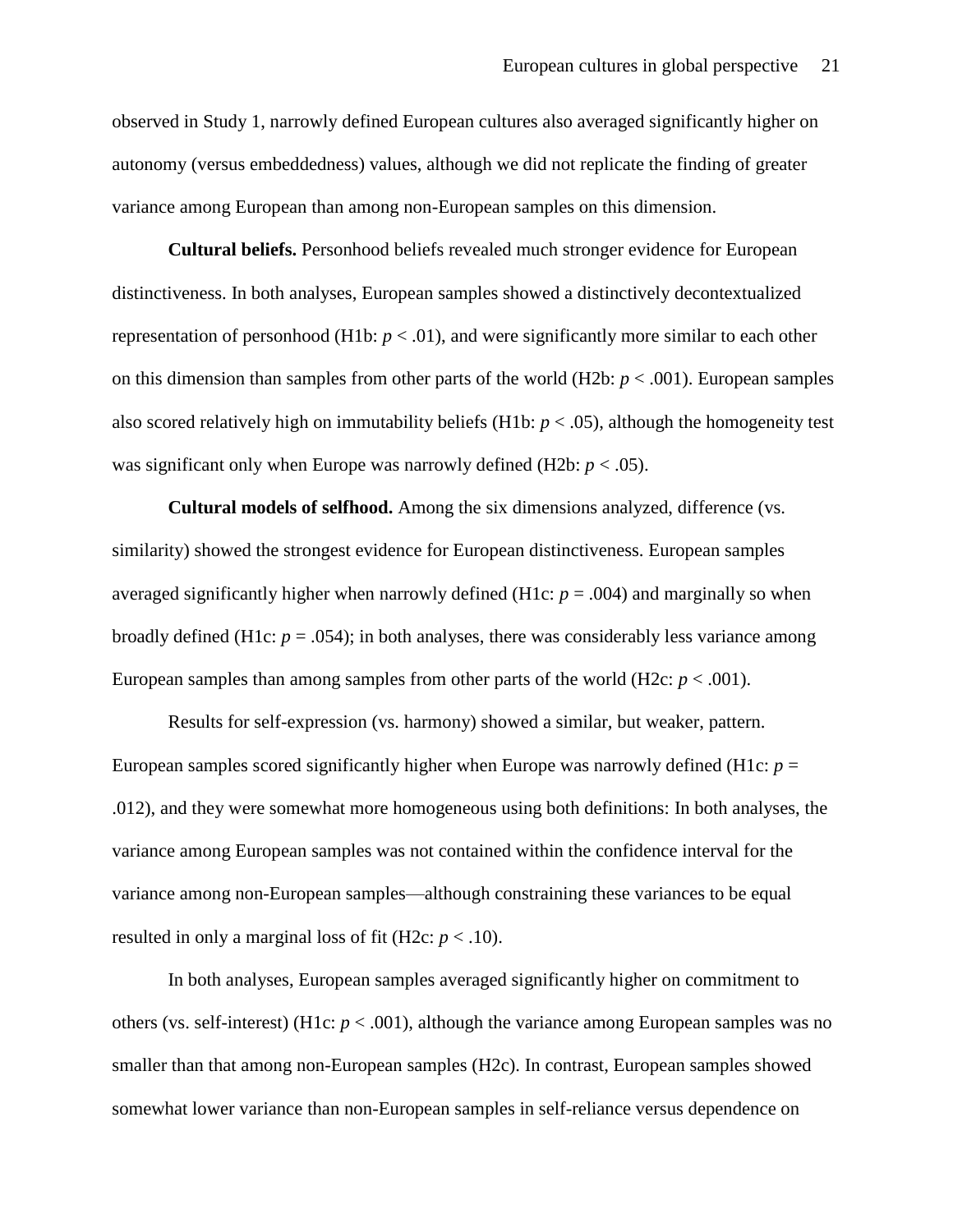observed in Study 1, narrowly defined European cultures also averaged significantly higher on autonomy (versus embeddedness) values, although we did not replicate the finding of greater variance among European than among non-European samples on this dimension.

**Cultural beliefs.** Personhood beliefs revealed much stronger evidence for European distinctiveness. In both analyses, European samples showed a distinctively decontextualized representation of personhood (H1b:  $p < .01$ ), and were significantly more similar to each other on this dimension than samples from other parts of the world (H2b:  $p < .001$ ). European samples also scored relatively high on immutability beliefs (H1b:  $p < .05$ ), although the homogeneity test was significant only when Europe was narrowly defined (H2b:  $p < .05$ ).

**Cultural models of selfhood.** Among the six dimensions analyzed, difference (vs. similarity) showed the strongest evidence for European distinctiveness. European samples averaged significantly higher when narrowly defined (H1c:  $p = .004$ ) and marginally so when broadly defined (H1c:  $p = .054$ ); in both analyses, there was considerably less variance among European samples than among samples from other parts of the world (H2c:  $p < .001$ ).

Results for self-expression (vs. harmony) showed a similar, but weaker, pattern. European samples scored significantly higher when Europe was narrowly defined (H1c: *p* = .012), and they were somewhat more homogeneous using both definitions: In both analyses, the variance among European samples was not contained within the confidence interval for the variance among non-European samples—although constraining these variances to be equal resulted in only a marginal loss of fit (H2c:  $p < .10$ ).

In both analyses, European samples averaged significantly higher on commitment to others (vs. self-interest) (H1c:  $p < .001$ ), although the variance among European samples was no smaller than that among non-European samples (H2c). In contrast, European samples showed somewhat lower variance than non-European samples in self-reliance versus dependence on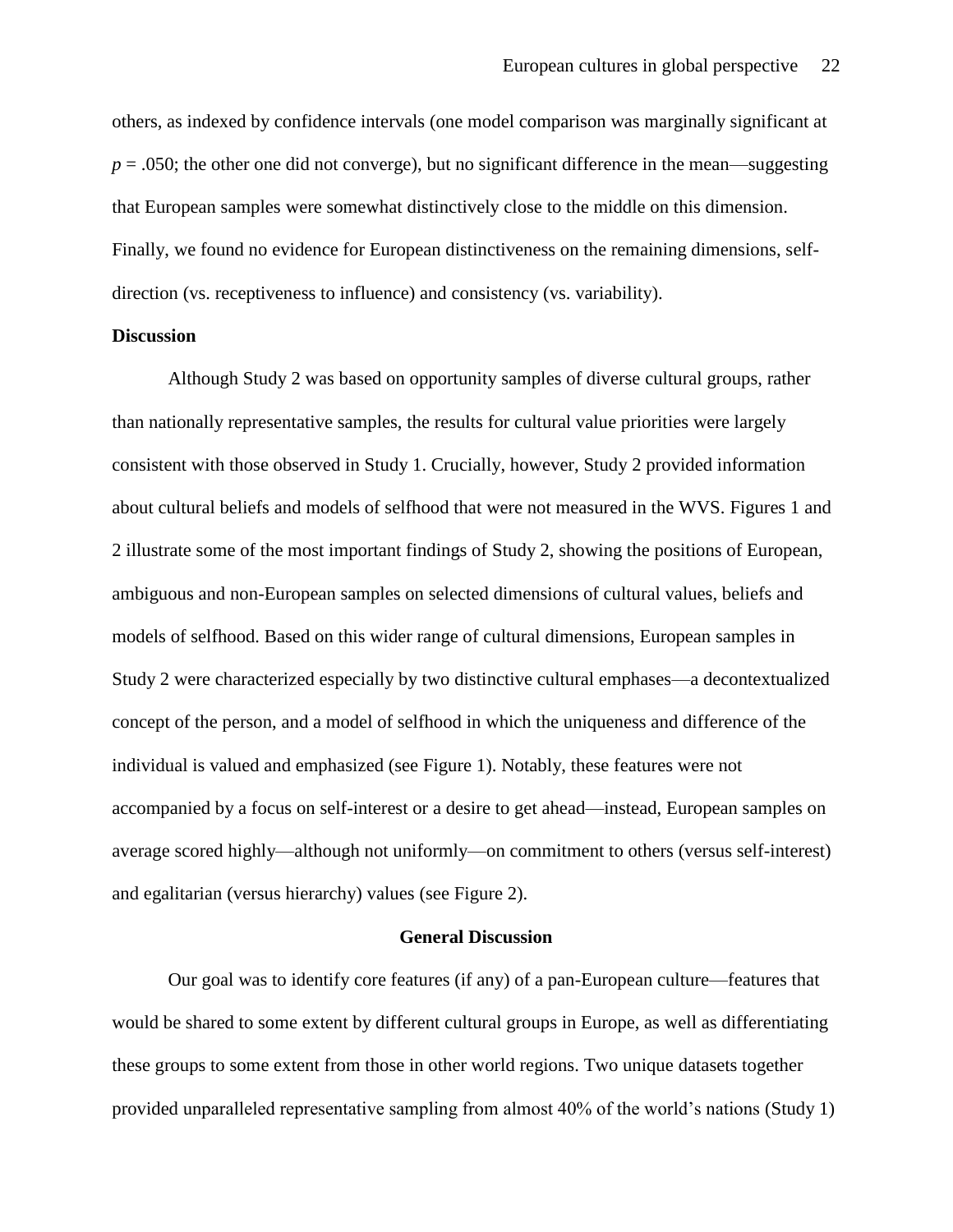others, as indexed by confidence intervals (one model comparison was marginally significant at  $p = 0.050$ ; the other one did not converge), but no significant difference in the mean—suggesting that European samples were somewhat distinctively close to the middle on this dimension. Finally, we found no evidence for European distinctiveness on the remaining dimensions, selfdirection (vs. receptiveness to influence) and consistency (vs. variability).

## **Discussion**

Although Study 2 was based on opportunity samples of diverse cultural groups, rather than nationally representative samples, the results for cultural value priorities were largely consistent with those observed in Study 1. Crucially, however, Study 2 provided information about cultural beliefs and models of selfhood that were not measured in the WVS. Figures 1 and 2 illustrate some of the most important findings of Study 2, showing the positions of European, ambiguous and non-European samples on selected dimensions of cultural values, beliefs and models of selfhood. Based on this wider range of cultural dimensions, European samples in Study 2 were characterized especially by two distinctive cultural emphases—a decontextualized concept of the person, and a model of selfhood in which the uniqueness and difference of the individual is valued and emphasized (see Figure 1). Notably, these features were not accompanied by a focus on self-interest or a desire to get ahead—instead, European samples on average scored highly—although not uniformly—on commitment to others (versus self-interest) and egalitarian (versus hierarchy) values (see Figure 2).

#### **General Discussion**

Our goal was to identify core features (if any) of a pan-European culture—features that would be shared to some extent by different cultural groups in Europe, as well as differentiating these groups to some extent from those in other world regions. Two unique datasets together provided unparalleled representative sampling from almost 40% of the world's nations (Study 1)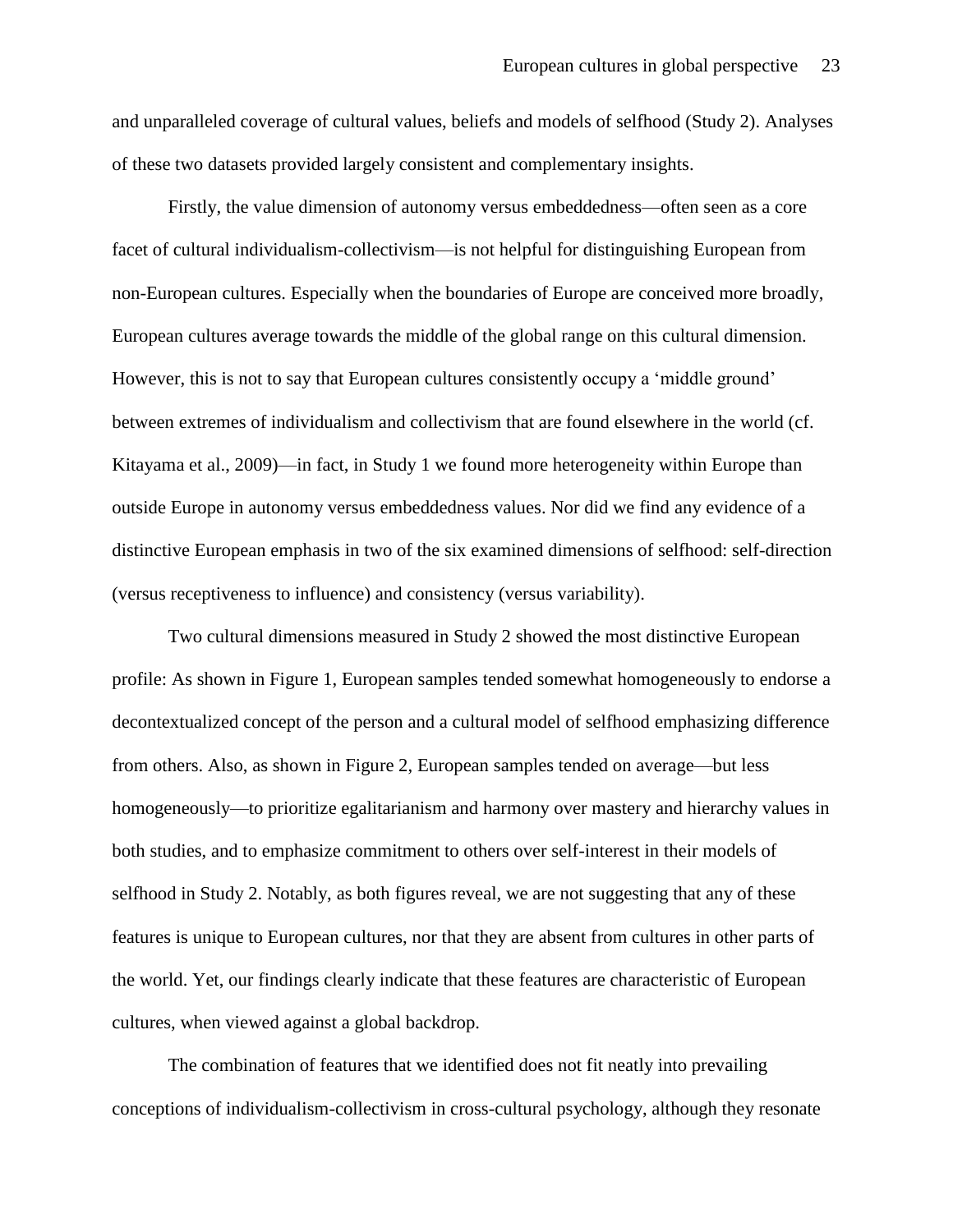and unparalleled coverage of cultural values, beliefs and models of selfhood (Study 2). Analyses of these two datasets provided largely consistent and complementary insights.

Firstly, the value dimension of autonomy versus embeddedness—often seen as a core facet of cultural individualism-collectivism—is not helpful for distinguishing European from non-European cultures. Especially when the boundaries of Europe are conceived more broadly, European cultures average towards the middle of the global range on this cultural dimension. However, this is not to say that European cultures consistently occupy a 'middle ground' between extremes of individualism and collectivism that are found elsewhere in the world (cf. Kitayama et al., 2009)—in fact, in Study 1 we found more heterogeneity within Europe than outside Europe in autonomy versus embeddedness values. Nor did we find any evidence of a distinctive European emphasis in two of the six examined dimensions of selfhood: self-direction (versus receptiveness to influence) and consistency (versus variability).

Two cultural dimensions measured in Study 2 showed the most distinctive European profile: As shown in Figure 1, European samples tended somewhat homogeneously to endorse a decontextualized concept of the person and a cultural model of selfhood emphasizing difference from others. Also, as shown in Figure 2, European samples tended on average—but less homogeneously—to prioritize egalitarianism and harmony over mastery and hierarchy values in both studies, and to emphasize commitment to others over self-interest in their models of selfhood in Study 2. Notably, as both figures reveal, we are not suggesting that any of these features is unique to European cultures, nor that they are absent from cultures in other parts of the world. Yet, our findings clearly indicate that these features are characteristic of European cultures, when viewed against a global backdrop.

The combination of features that we identified does not fit neatly into prevailing conceptions of individualism-collectivism in cross-cultural psychology, although they resonate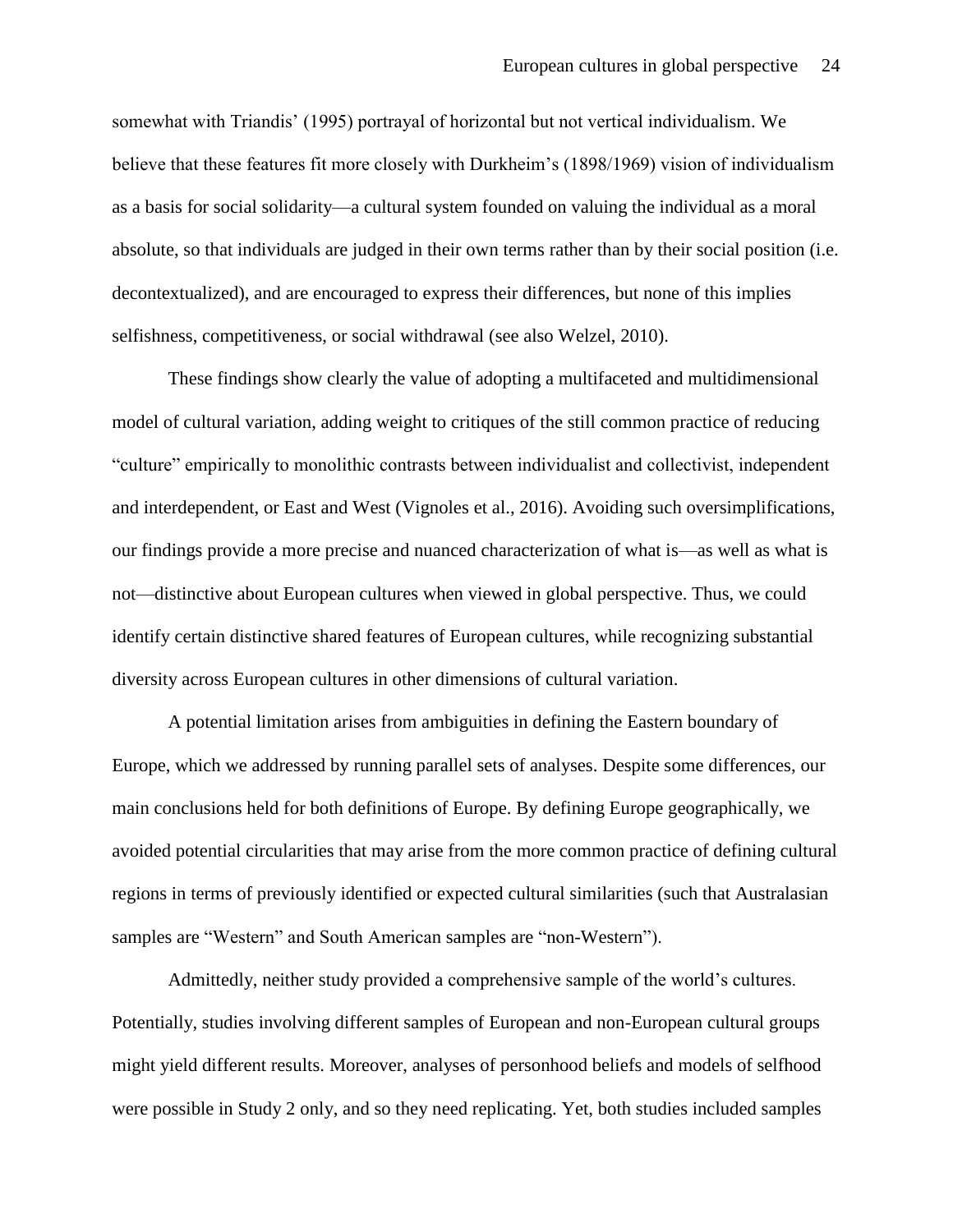somewhat with Triandis' (1995) portrayal of horizontal but not vertical individualism. We believe that these features fit more closely with Durkheim's (1898/1969) vision of individualism as a basis for social solidarity—a cultural system founded on valuing the individual as a moral absolute, so that individuals are judged in their own terms rather than by their social position (i.e. decontextualized), and are encouraged to express their differences, but none of this implies selfishness, competitiveness, or social withdrawal (see also Welzel, 2010).

These findings show clearly the value of adopting a multifaceted and multidimensional model of cultural variation, adding weight to critiques of the still common practice of reducing "culture" empirically to monolithic contrasts between individualist and collectivist, independent and interdependent, or East and West (Vignoles et al., 2016). Avoiding such oversimplifications, our findings provide a more precise and nuanced characterization of what is—as well as what is not—distinctive about European cultures when viewed in global perspective. Thus, we could identify certain distinctive shared features of European cultures, while recognizing substantial diversity across European cultures in other dimensions of cultural variation.

A potential limitation arises from ambiguities in defining the Eastern boundary of Europe, which we addressed by running parallel sets of analyses. Despite some differences, our main conclusions held for both definitions of Europe. By defining Europe geographically, we avoided potential circularities that may arise from the more common practice of defining cultural regions in terms of previously identified or expected cultural similarities (such that Australasian samples are "Western" and South American samples are "non-Western").

Admittedly, neither study provided a comprehensive sample of the world's cultures. Potentially, studies involving different samples of European and non-European cultural groups might yield different results. Moreover, analyses of personhood beliefs and models of selfhood were possible in Study 2 only, and so they need replicating. Yet, both studies included samples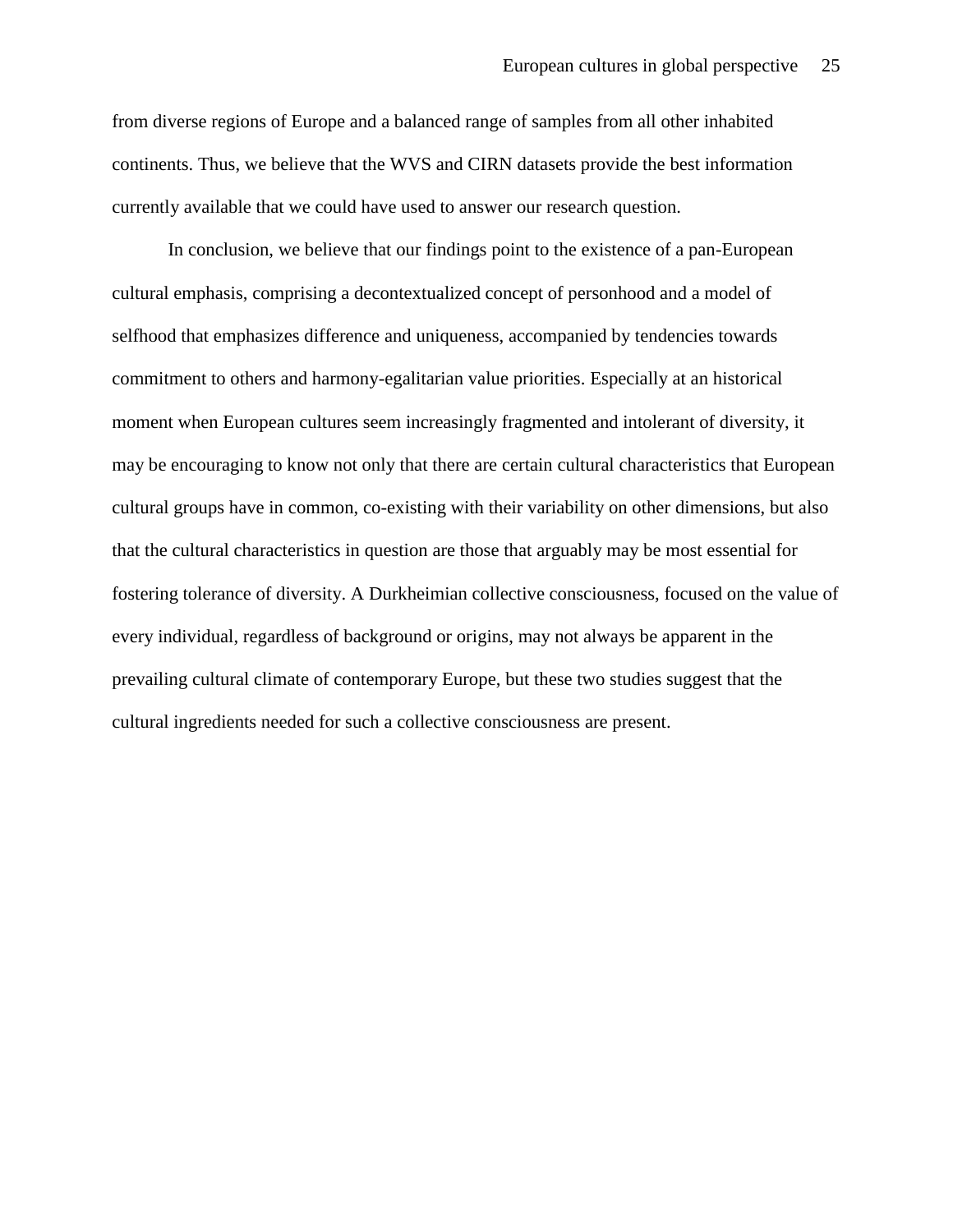from diverse regions of Europe and a balanced range of samples from all other inhabited continents. Thus, we believe that the WVS and CIRN datasets provide the best information currently available that we could have used to answer our research question.

In conclusion, we believe that our findings point to the existence of a pan-European cultural emphasis, comprising a decontextualized concept of personhood and a model of selfhood that emphasizes difference and uniqueness, accompanied by tendencies towards commitment to others and harmony-egalitarian value priorities. Especially at an historical moment when European cultures seem increasingly fragmented and intolerant of diversity, it may be encouraging to know not only that there are certain cultural characteristics that European cultural groups have in common, co-existing with their variability on other dimensions, but also that the cultural characteristics in question are those that arguably may be most essential for fostering tolerance of diversity. A Durkheimian collective consciousness, focused on the value of every individual, regardless of background or origins, may not always be apparent in the prevailing cultural climate of contemporary Europe, but these two studies suggest that the cultural ingredients needed for such a collective consciousness are present.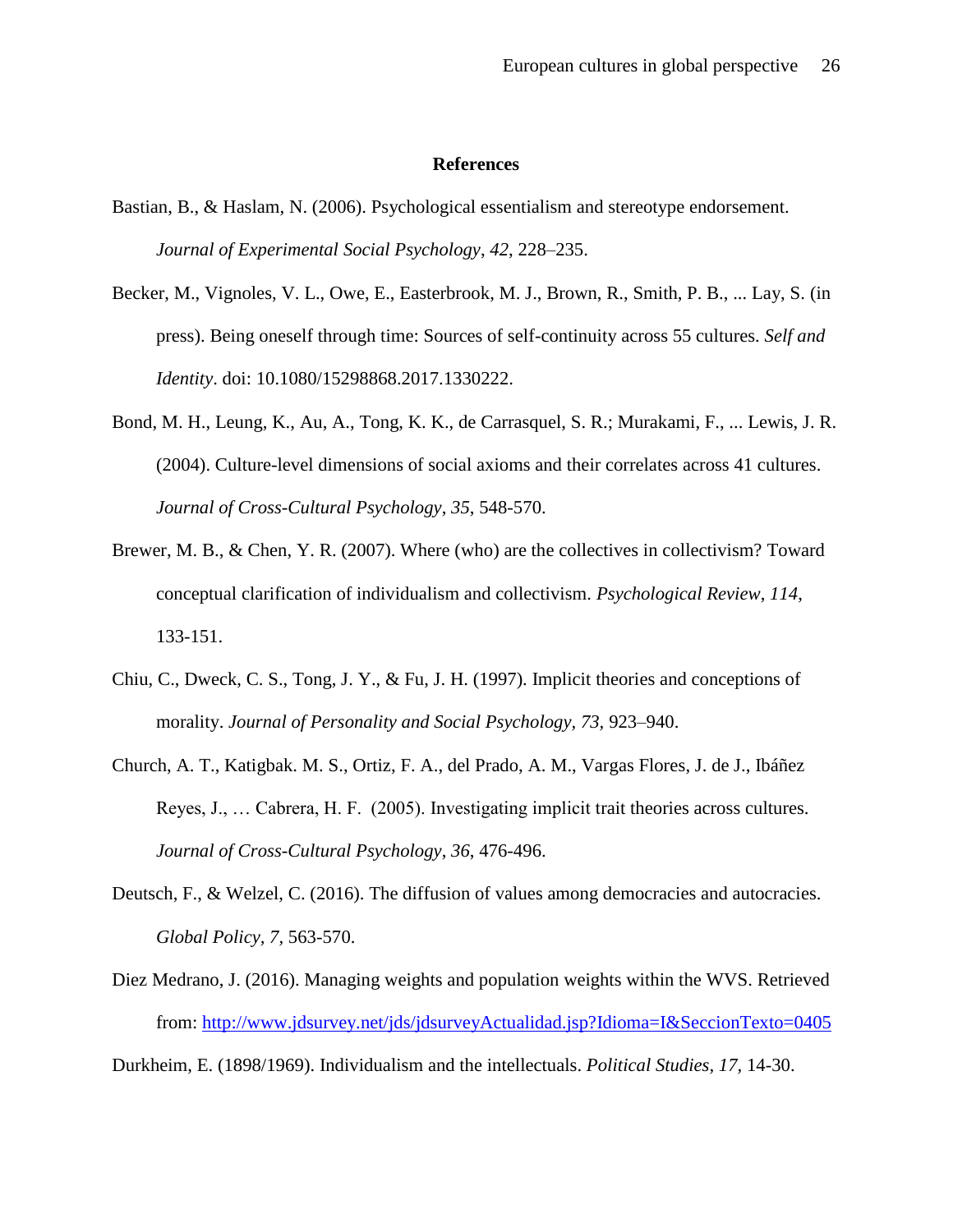#### **References**

- Bastian, B., & Haslam, N. (2006). Psychological essentialism and stereotype endorsement. *Journal of Experimental Social Psychology*, *42*, 228–235.
- Becker, M., Vignoles, V. L., Owe, E., Easterbrook, M. J., Brown, R., Smith, P. B., ... Lay, S. (in press). Being oneself through time: Sources of self-continuity across 55 cultures. *Self and Identity*. doi: 10.1080/15298868.2017.1330222.
- Bond, M. H., Leung, K., Au, A., Tong, K. K., de Carrasquel, S. R.; Murakami, F., ... Lewis, J. R. (2004). Culture-level dimensions of social axioms and their correlates across 41 cultures. *Journal of Cross-Cultural Psychology*, *35*, 548-570.
- Brewer, M. B., & Chen, Y. R. (2007). Where (who) are the collectives in collectivism? Toward conceptual clarification of individualism and collectivism. *Psychological Review*, *114*, 133-151.
- Chiu, C., Dweck, C. S., Tong, J. Y., & Fu, J. H. (1997). Implicit theories and conceptions of morality. *Journal of Personality and Social Psychology, 73,* 923–940.
- Church, A. T., Katigbak. M. S., Ortiz, F. A., del Prado, A. M., Vargas Flores, J. de J., Ibáñez Reyes, J., … Cabrera, H. F. (2005). Investigating implicit trait theories across cultures. *Journal of Cross-Cultural Psychology*, *36*, 476-496.
- Deutsch, F., & Welzel, C. (2016). The diffusion of values among democracies and autocracies. *Global Policy, 7,* 563-570.
- Diez Medrano, J. (2016). Managing weights and population weights within the WVS. Retrieved from:<http://www.jdsurvey.net/jds/jdsurveyActualidad.jsp?Idioma=I&SeccionTexto=0405>

Durkheim, E. (1898/1969). Individualism and the intellectuals. *Political Studies, 17,* 14-30.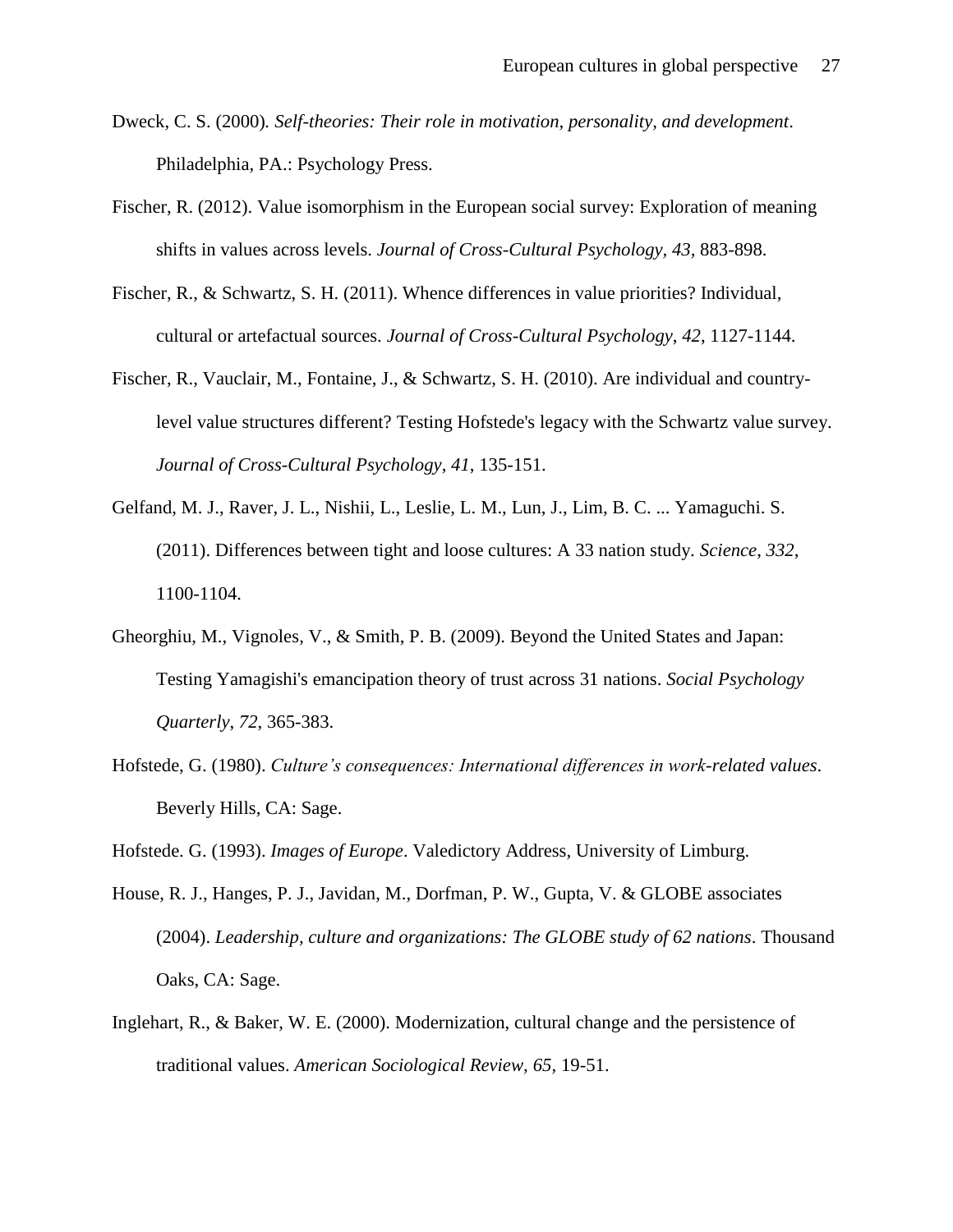- Dweck, C. S. (2000)*. Self-theories: Their role in motivation, personality, and development*. Philadelphia, PA.: Psychology Press.
- Fischer, R. (2012). Value isomorphism in the European social survey: Exploration of meaning shifts in values across levels. *Journal of Cross-Cultural Psychology, 43,* 883-898.
- Fischer, R., & Schwartz, S. H. (2011). Whence differences in value priorities? Individual, cultural or artefactual sources. *Journal of Cross-Cultural Psychology*, *42*, 1127-1144.
- Fischer, R., Vauclair, M., Fontaine, J., & Schwartz, S. H. (2010). Are individual and countrylevel value structures different? Testing Hofstede's legacy with the Schwartz value survey. *Journal of Cross-Cultural Psychology*, *41*, 135-151.
- Gelfand, M. J., Raver, J. L., Nishii, L., Leslie, L. M., Lun, J., Lim, B. C. ... Yamaguchi. S. (2011). Differences between tight and loose cultures: A 33 nation study. *Science*, *332*, 1100-1104.
- Gheorghiu, M., Vignoles, V., & Smith, P. B. (2009). Beyond the United States and Japan: Testing Yamagishi's emancipation theory of trust across 31 nations. *Social Psychology Quarterly*, *72*, 365-383.
- Hofstede, G. (1980). *Culture's consequences: International differences in work-related values*. Beverly Hills, CA: Sage.

Hofstede. G. (1993). *Images of Europe*. Valedictory Address, University of Limburg.

- House, R. J., Hanges, P. J., Javidan, M., Dorfman, P. W., Gupta, V. & GLOBE associates (2004). *Leadership, culture and organizations: The GLOBE study of 62 nations*. Thousand Oaks, CA: Sage.
- Inglehart, R., & Baker, W. E. (2000). Modernization, cultural change and the persistence of traditional values. *American Sociological Review, 65,* 19-51.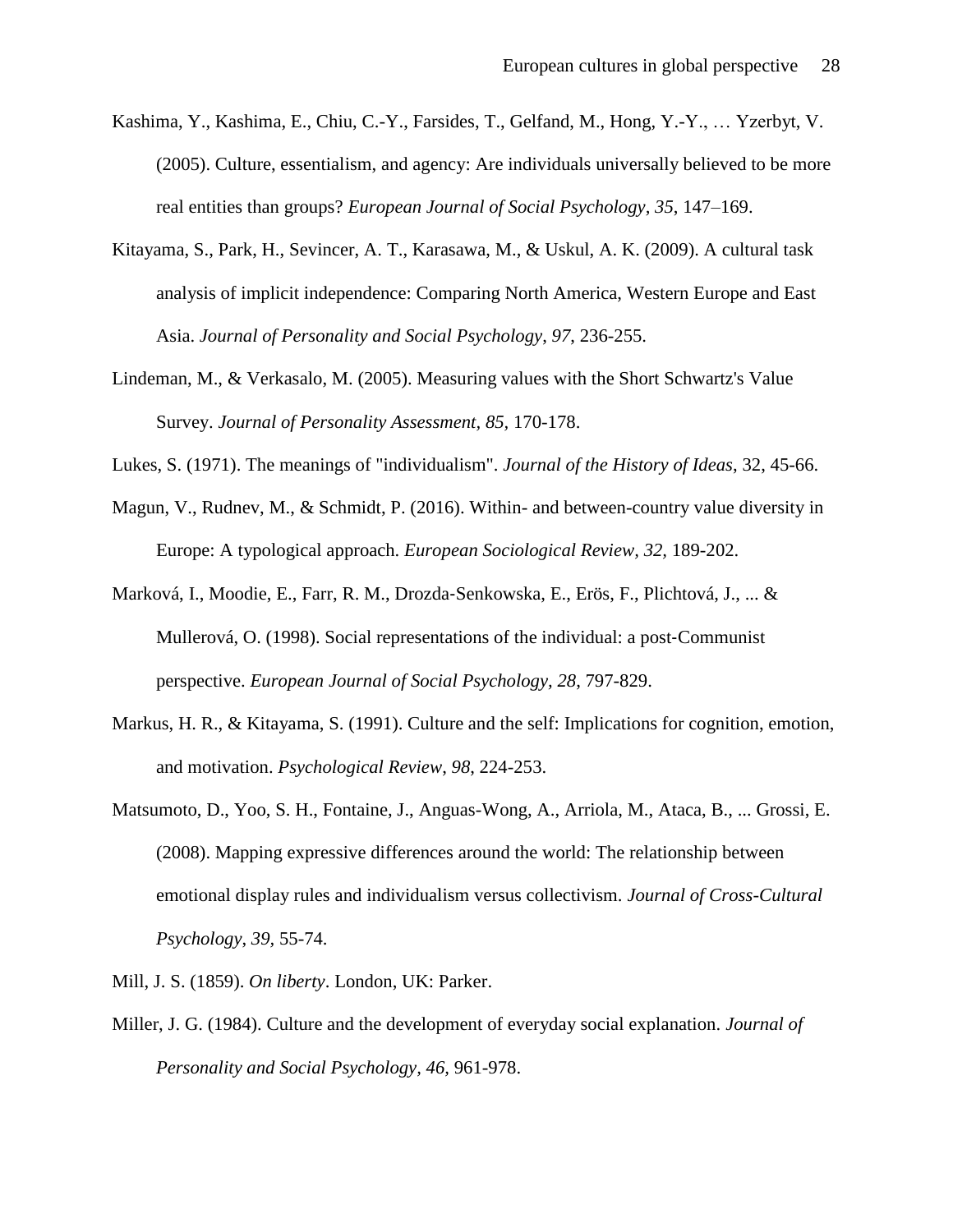- Kashima, Y., Kashima, E., Chiu, C.-Y., Farsides, T., Gelfand, M., Hong, Y.-Y., … Yzerbyt, V. (2005). Culture, essentialism, and agency: Are individuals universally believed to be more real entities than groups? *European Journal of Social Psychology, 35*, 147–169.
- Kitayama, S., Park, H., Sevincer, A. T., Karasawa, M., & Uskul, A. K. (2009). A cultural task analysis of implicit independence: Comparing North America, Western Europe and East Asia. *Journal of Personality and Social Psychology*, *97*, 236-255.
- Lindeman, M., & Verkasalo, M. (2005). Measuring values with the Short Schwartz's Value Survey. *Journal of Personality Assessment, 85,* 170-178.
- Lukes, S. (1971). The meanings of "individualism". *Journal of the History of Ideas*, 32, 45-66.
- Magun, V., Rudnev, M., & Schmidt, P. (2016). Within- and between-country value diversity in Europe: A typological approach. *European Sociological Review, 32,* 189-202.
- Marková, I., Moodie, E., Farr, R. M., Drozda‐Senkowska, E., Erös, F., Plichtová, J., ... & Mullerová, O. (1998). Social representations of the individual: a post‐Communist perspective. *European Journal of Social Psychology, 28*, 797-829.
- Markus, H. R., & Kitayama, S. (1991). Culture and the self: Implications for cognition, emotion, and motivation. *Psychological Review*, *98*, 224-253.
- Matsumoto, D., Yoo, S. H., Fontaine, J., Anguas-Wong, A., Arriola, M., Ataca, B., ... Grossi, E. (2008). Mapping expressive differences around the world: The relationship between emotional display rules and individualism versus collectivism. *Journal of Cross-Cultural Psychology*, *39,* 55-74.
- Mill, J. S. (1859). *On liberty*. London, UK: Parker.
- Miller, J. G. (1984). Culture and the development of everyday social explanation. *Journal of Personality and Social Psychology, 46,* 961-978.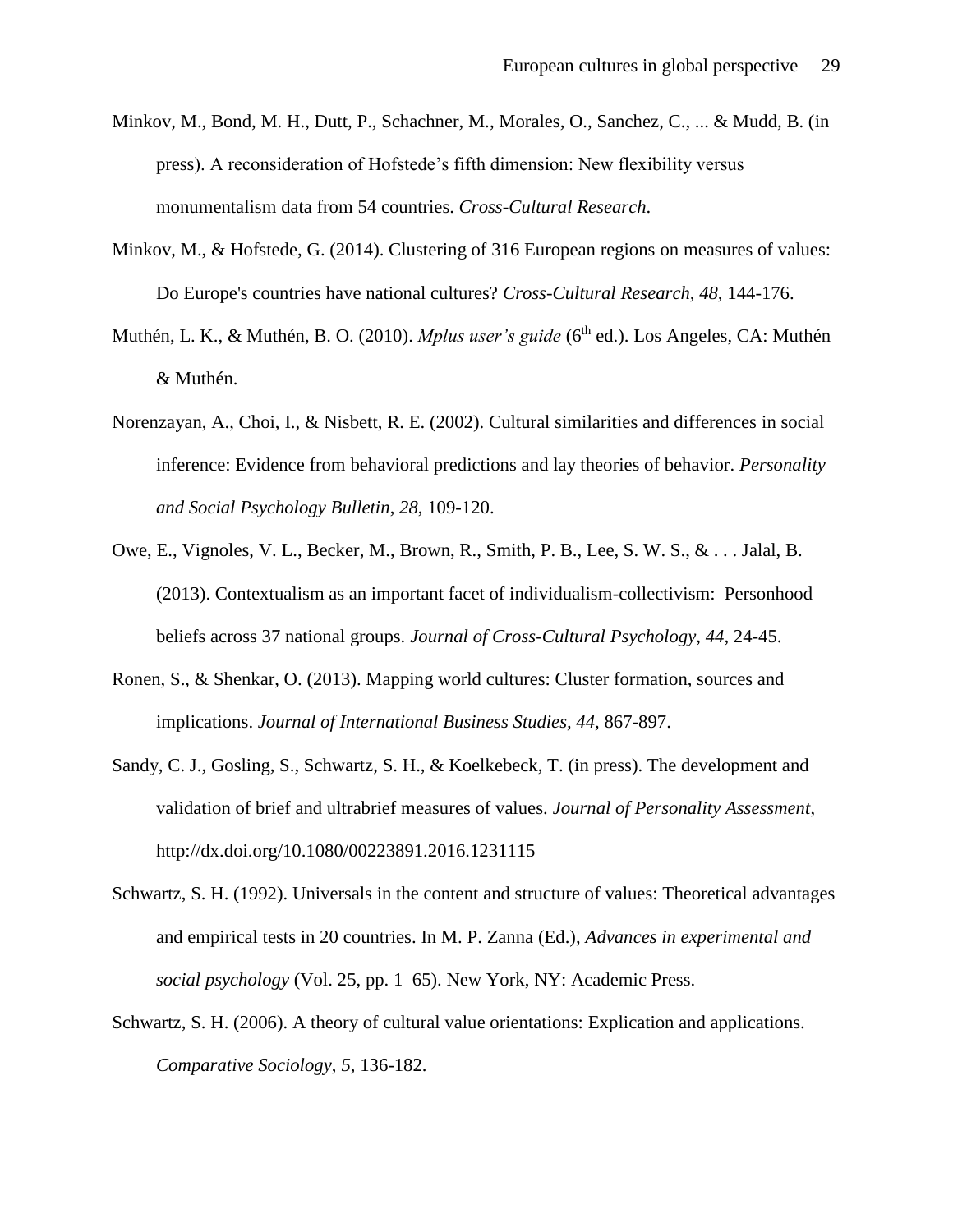- Minkov, M., Bond, M. H., Dutt, P., Schachner, M., Morales, O., Sanchez, C., ... & Mudd, B. (in press). A reconsideration of Hofstede's fifth dimension: New flexibility versus monumentalism data from 54 countries. *Cross-Cultural Research*.
- Minkov, M., & Hofstede, G. (2014). Clustering of 316 European regions on measures of values: Do Europe's countries have national cultures? *Cross-Cultural Research, 48,* 144-176.
- Muthén, L. K., & Muthén, B. O. (2010). *Mplus user's guide* (6<sup>th</sup> ed.). Los Angeles, CA: Muthén & Muthén.
- Norenzayan, A., Choi, I., & Nisbett, R. E. (2002). Cultural similarities and differences in social inference: Evidence from behavioral predictions and lay theories of behavior. *Personality and Social Psychology Bulletin*, *28*, 109-120.
- Owe, E., Vignoles, V. L., Becker, M., Brown, R., Smith, P. B., Lee, S. W. S., & . . . Jalal, B. (2013). Contextualism as an important facet of individualism-collectivism: Personhood beliefs across 37 national groups. *Journal of Cross-Cultural Psychology*, *44*, 24-45.
- Ronen, S., & Shenkar, O. (2013). Mapping world cultures: Cluster formation, sources and implications. *Journal of International Business Studies, 44,* 867-897.
- Sandy, C. J., Gosling, S., Schwartz, S. H., & Koelkebeck, T. (in press). The development and validation of brief and ultrabrief measures of values. *Journal of Personality Assessment*, http://dx.doi.org/10.1080/00223891.2016.1231115
- Schwartz, S. H. (1992). Universals in the content and structure of values: Theoretical advantages and empirical tests in 20 countries. In M. P. Zanna (Ed.), *Advances in experimental and social psychology* (Vol. 25, pp. 1–65). New York, NY: Academic Press.
- Schwartz, S. H. (2006). A theory of cultural value orientations: Explication and applications. *Comparative Sociology*, *5*, 136-182.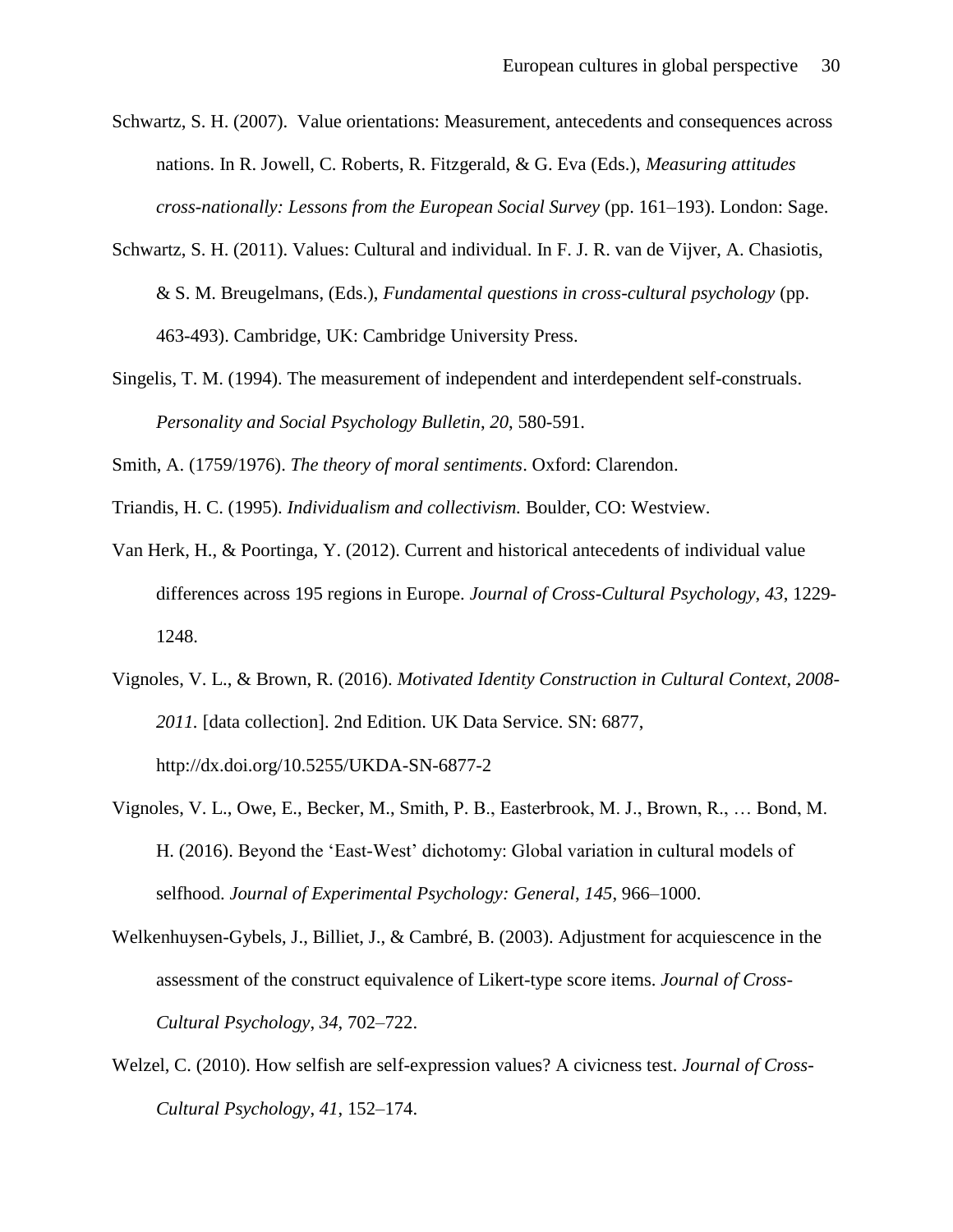- Schwartz, S. H. (2007). Value orientations: Measurement, antecedents and consequences across nations. In R. Jowell, C. Roberts, R. Fitzgerald, & G. Eva (Eds.), *Measuring attitudes cross-nationally: Lessons from the European Social Survey* (pp. 161–193). London: Sage.
- Schwartz, S. H. (2011). Values: Cultural and individual. In F. J. R. van de Vijver, A. Chasiotis, & S. M. Breugelmans, (Eds.), *Fundamental questions in cross-cultural psychology* (pp. 463-493). Cambridge, UK: Cambridge University Press.
- Singelis, T. M. (1994). The measurement of independent and interdependent self-construals. *Personality and Social Psychology Bulletin*, *20*, 580-591.

Smith, A. (1759/1976). *The theory of moral sentiments*. Oxford: Clarendon.

Triandis, H. C. (1995). *Individualism and collectivism.* Boulder, CO: Westview.

- Van Herk, H., & Poortinga, Y. (2012). Current and historical antecedents of individual value differences across 195 regions in Europe. *Journal of Cross-Cultural Psychology*, *43*, 1229- 1248.
- Vignoles, V. L., & Brown, R. (2016). *Motivated Identity Construction in Cultural Context, 2008- 2011.* [data collection]. 2nd Edition. UK Data Service. SN: 6877, http://dx.doi.org/10.5255/UKDA-SN-6877-2
- Vignoles, V. L., Owe, E., Becker, M., Smith, P. B., Easterbrook, M. J., Brown, R., … Bond, M. H. (2016). Beyond the 'East-West' dichotomy: Global variation in cultural models of selfhood. *Journal of Experimental Psychology: General*, *145*, 966–1000.
- Welkenhuysen-Gybels, J., Billiet, J., & Cambré, B. (2003). Adjustment for acquiescence in the assessment of the construct equivalence of Likert-type score items. *Journal of Cross-Cultural Psychology*, *34*, 702–722.
- Welzel, C. (2010). How selfish are self-expression values? A civicness test. *Journal of Cross-Cultural Psychology*, *41*, 152–174.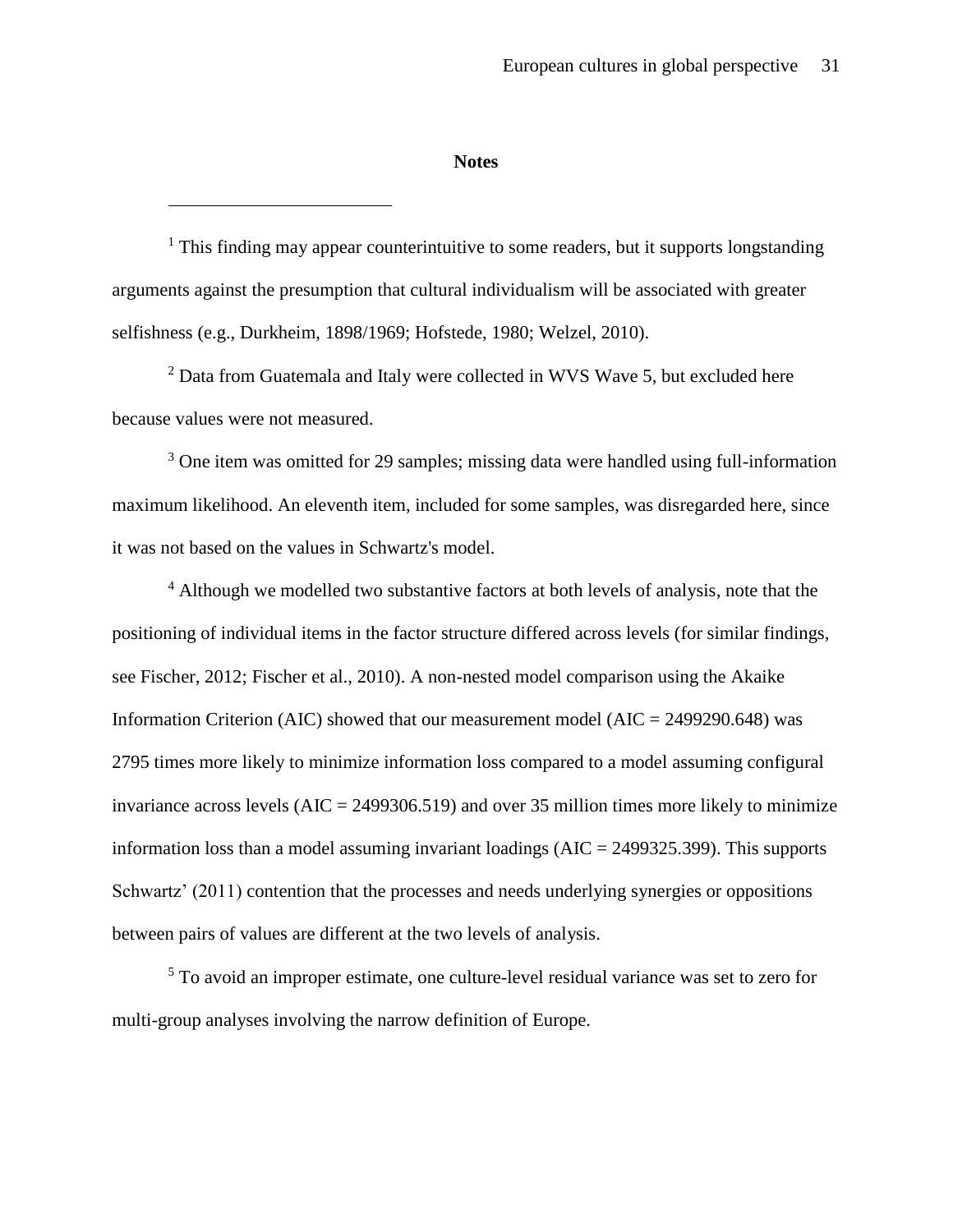#### **Notes**

 $\overline{a}$ 

 $<sup>1</sup>$  This finding may appear counterintuitive to some readers, but it supports longstanding</sup> arguments against the presumption that cultural individualism will be associated with greater selfishness (e.g., Durkheim, 1898/1969; Hofstede, 1980; Welzel, 2010).

 $2$  Data from Guatemala and Italy were collected in WVS Wave 5, but excluded here because values were not measured.

<sup>3</sup> One item was omitted for 29 samples; missing data were handled using full-information maximum likelihood. An eleventh item, included for some samples, was disregarded here, since it was not based on the values in Schwartz's model.

<sup>4</sup> Although we modelled two substantive factors at both levels of analysis, note that the positioning of individual items in the factor structure differed across levels (for similar findings, see Fischer, 2012; Fischer et al., 2010). A non-nested model comparison using the Akaike Information Criterion (AIC) showed that our measurement model (AIC =  $2499290.648$ ) was 2795 times more likely to minimize information loss compared to a model assuming configural invariance across levels  $(AIC = 2499306.519)$  and over 35 million times more likely to minimize information loss than a model assuming invariant loadings  $(AIC = 2499325.399)$ . This supports Schwartz' (2011) contention that the processes and needs underlying synergies or oppositions between pairs of values are different at the two levels of analysis.

<sup>5</sup> To avoid an improper estimate, one culture-level residual variance was set to zero for multi-group analyses involving the narrow definition of Europe.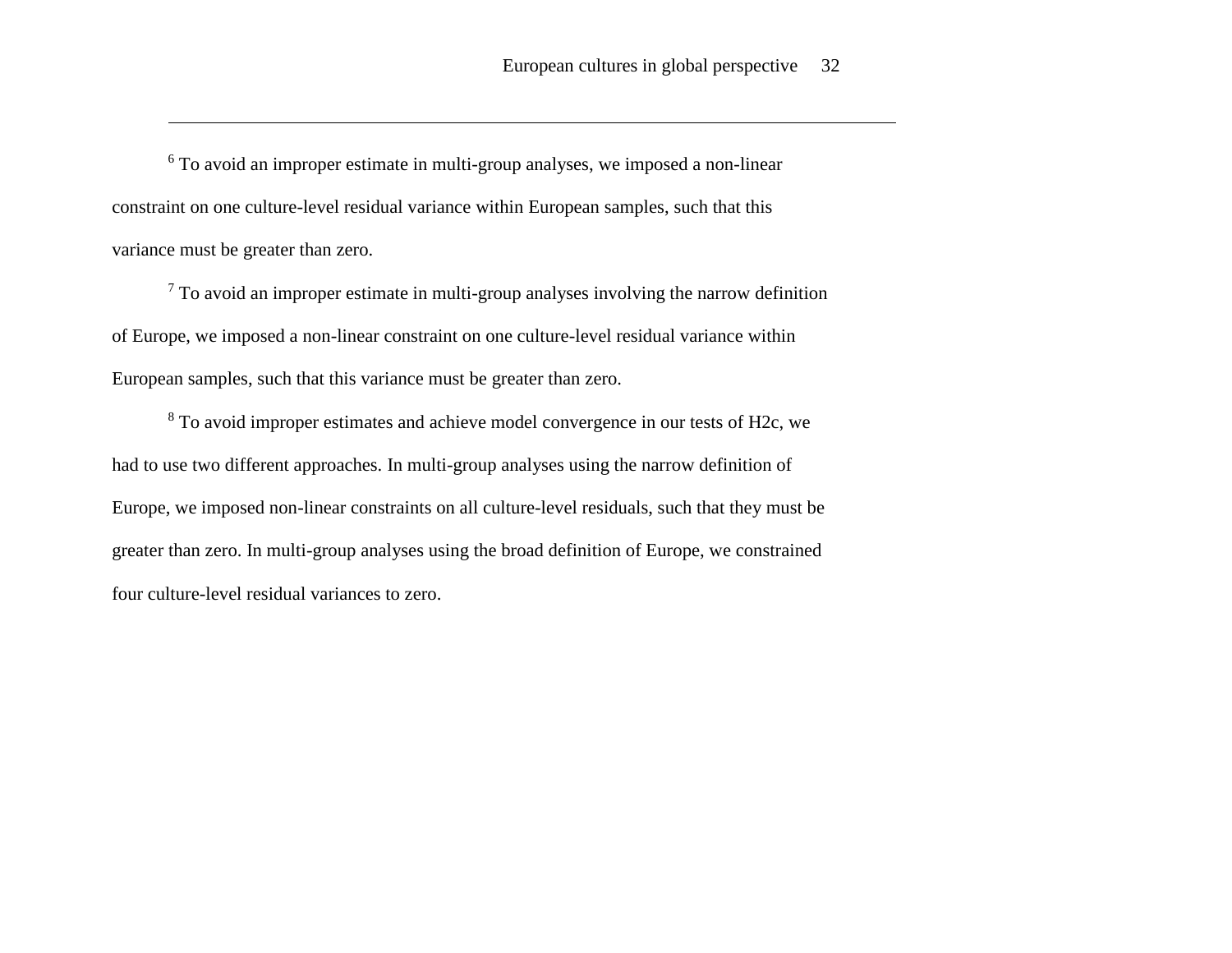<sup>6</sup> To avoid an improper estimate in multi-group analyses, we imposed a non-linear constraint on one culture-level residual variance within European samples, such that this variance must be greater than zero.

 $\overline{a}$ 

 $<sup>7</sup>$  To avoid an improper estimate in multi-group analyses involving the narrow definition</sup> of Europe, we imposed a non-linear constraint on one culture-level residual variance within European samples, such that this variance must be greater than zero.

<sup>8</sup> To avoid improper estimates and achieve model convergence in our tests of H2c, we had to use two different approaches. In multi-group analyses using the narrow definition of Europe, we imposed non-linear constraints on all culture-level residuals, such that they must be greater than zero. In multi-group analyses using the broad definition of Europe, we constrained four culture-level residual variances to zero.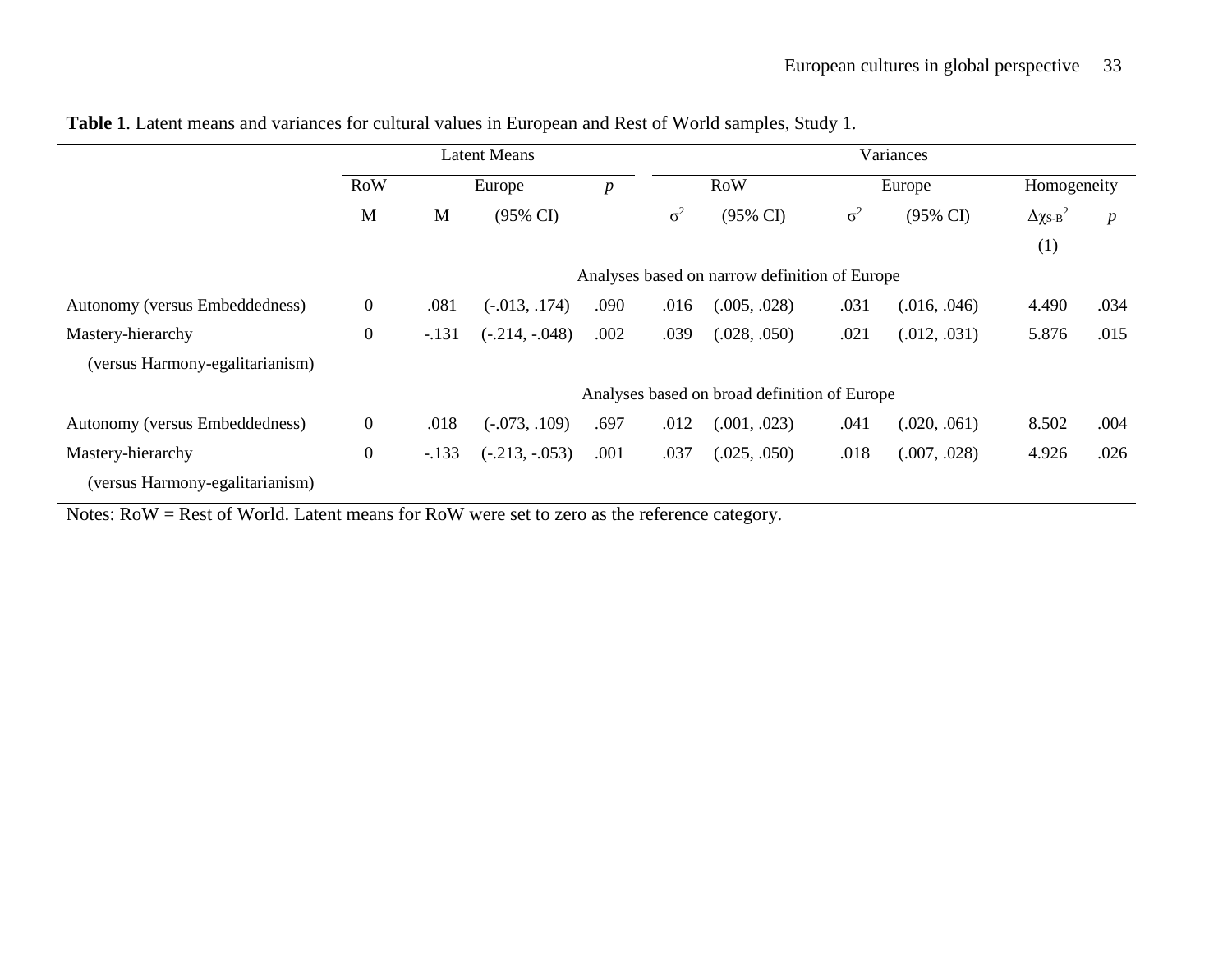|                                 | Latent Means     |                                               |                     |                  | Variances  |                     |            |                     |                                  |                  |
|---------------------------------|------------------|-----------------------------------------------|---------------------|------------------|------------|---------------------|------------|---------------------|----------------------------------|------------------|
|                                 | <b>RoW</b>       | Europe                                        |                     | $\boldsymbol{p}$ |            | <b>RoW</b>          | Europe     |                     | Homogeneity                      |                  |
|                                 | M                | M                                             | $(95\% \text{ CI})$ |                  | $\sigma^2$ | $(95\% \text{ CI})$ | $\sigma^2$ | $(95\% \text{ CI})$ | $\Delta \chi_{\rm S\text{-}B}^2$ | $\boldsymbol{p}$ |
|                                 |                  |                                               |                     |                  |            |                     |            |                     | (1)                              |                  |
|                                 |                  | Analyses based on narrow definition of Europe |                     |                  |            |                     |            |                     |                                  |                  |
| Autonomy (versus Embeddedness)  | $\boldsymbol{0}$ | .081                                          | $(-.013, .174)$     | .090             | .016       | (.005, .028)        | .031       | (.016, .046)        | 4.490                            | .034             |
| Mastery-hierarchy               | $\boldsymbol{0}$ | $-.131$                                       | $(-.214, -.048)$    | .002             | .039       | (.028, .050)        | .021       | (.012, .031)        | 5.876                            | .015             |
| (versus Harmony-egalitarianism) |                  |                                               |                     |                  |            |                     |            |                     |                                  |                  |
|                                 |                  | Analyses based on broad definition of Europe  |                     |                  |            |                     |            |                     |                                  |                  |
| Autonomy (versus Embeddedness)  | $\mathbf{0}$     | .018                                          | $(-.073, .109)$     | .697             | .012       | (.001, .023)        | .041       | (.020, .061)        | 8.502                            | .004             |
| Mastery-hierarchy               | $\boldsymbol{0}$ | $-.133$                                       | $(-.213, -.053)$    | .001             | .037       | (.025, .050)        | .018       | (.007, .028)        | 4.926                            | .026             |
| (versus Harmony-egalitarianism) |                  |                                               |                     |                  |            |                     |            |                     |                                  |                  |

**Table 1**. Latent means and variances for cultural values in European and Rest of World samples, Study 1.

Notes: RoW = Rest of World. Latent means for RoW were set to zero as the reference category.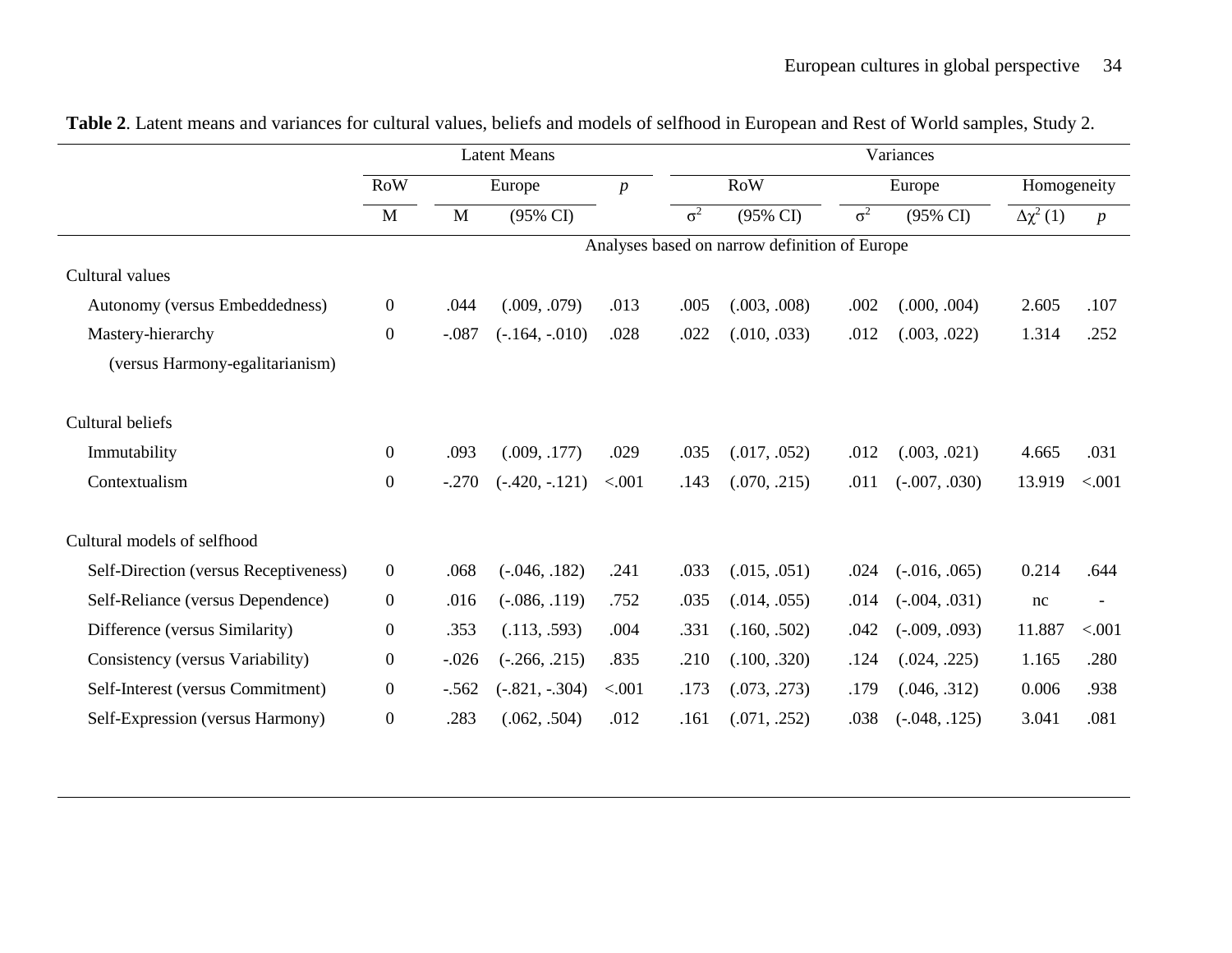|                                       | <b>Latent Means</b> |                                               |                     | Variances |            |              |            |                     |                     |                  |
|---------------------------------------|---------------------|-----------------------------------------------|---------------------|-----------|------------|--------------|------------|---------------------|---------------------|------------------|
|                                       | <b>RoW</b>          |                                               | Europe              |           | <b>RoW</b> |              | Europe     |                     | Homogeneity         |                  |
|                                       | M                   | M                                             | $(95\% \text{ CI})$ |           | $\sigma^2$ | (95% CI)     | $\sigma^2$ | $(95\% \text{ CI})$ | $\Delta \chi^2$ (1) | $\boldsymbol{p}$ |
|                                       |                     | Analyses based on narrow definition of Europe |                     |           |            |              |            |                     |                     |                  |
| Cultural values                       |                     |                                               |                     |           |            |              |            |                     |                     |                  |
| Autonomy (versus Embeddedness)        | $\overline{0}$      | .044                                          | (.009, .079)        | .013      | .005       | (.003, .008) | .002       | (.000, .004)        | 2.605               | .107             |
| Mastery-hierarchy                     | $\boldsymbol{0}$    | $-.087$                                       | $(-.164, -010)$     | .028      | .022       | (.010, .033) | .012       | (.003, .022)        | 1.314               | .252             |
| (versus Harmony-egalitarianism)       |                     |                                               |                     |           |            |              |            |                     |                     |                  |
| Cultural beliefs                      |                     |                                               |                     |           |            |              |            |                     |                     |                  |
| Immutability                          | $\overline{0}$      | .093                                          | (.009, .177)        | .029      | .035       | (.017, .052) | .012       | (.003, .021)        | 4.665               | .031             |
| Contextualism                         | $\boldsymbol{0}$    | $-.270$                                       | $(-.420, -.121)$    | < .001    | .143       | (.070, .215) | .011       | $(-.007, .030)$     | 13.919              | < .001           |
| Cultural models of selfhood           |                     |                                               |                     |           |            |              |            |                     |                     |                  |
| Self-Direction (versus Receptiveness) | $\overline{0}$      | .068                                          | $(-.046, .182)$     | .241      | .033       | (.015, .051) | .024       | $(-.016, .065)$     | 0.214               | .644             |
| Self-Reliance (versus Dependence)     | $\overline{0}$      | .016                                          | $(-.086, .119)$     | .752      | .035       | (.014, .055) | .014       | $(-.004, .031)$     | nc                  |                  |
| Difference (versus Similarity)        | $\boldsymbol{0}$    | .353                                          | (.113, .593)        | .004      | .331       | (.160, .502) | .042       | $(-.009, .093)$     | 11.887              | < .001           |
| Consistency (versus Variability)      | $\overline{0}$      | $-0.026$                                      | $(-.266, .215)$     | .835      | .210       | (.100, .320) | .124       | (.024, .225)        | 1.165               | .280             |
| Self-Interest (versus Commitment)     | $\overline{0}$      | $-.562$                                       | $(-.821, -.304)$    | < .001    | .173       | (.073, .273) | .179       | (.046, .312)        | 0.006               | .938             |
| Self-Expression (versus Harmony)      | $\boldsymbol{0}$    | .283                                          | (.062, .504)        | .012      | .161       | (.071, .252) | .038       | $(-.048, .125)$     | 3.041               | .081             |

**Table 2**. Latent means and variances for cultural values, beliefs and models of selfhood in European and Rest of World samples, Study 2.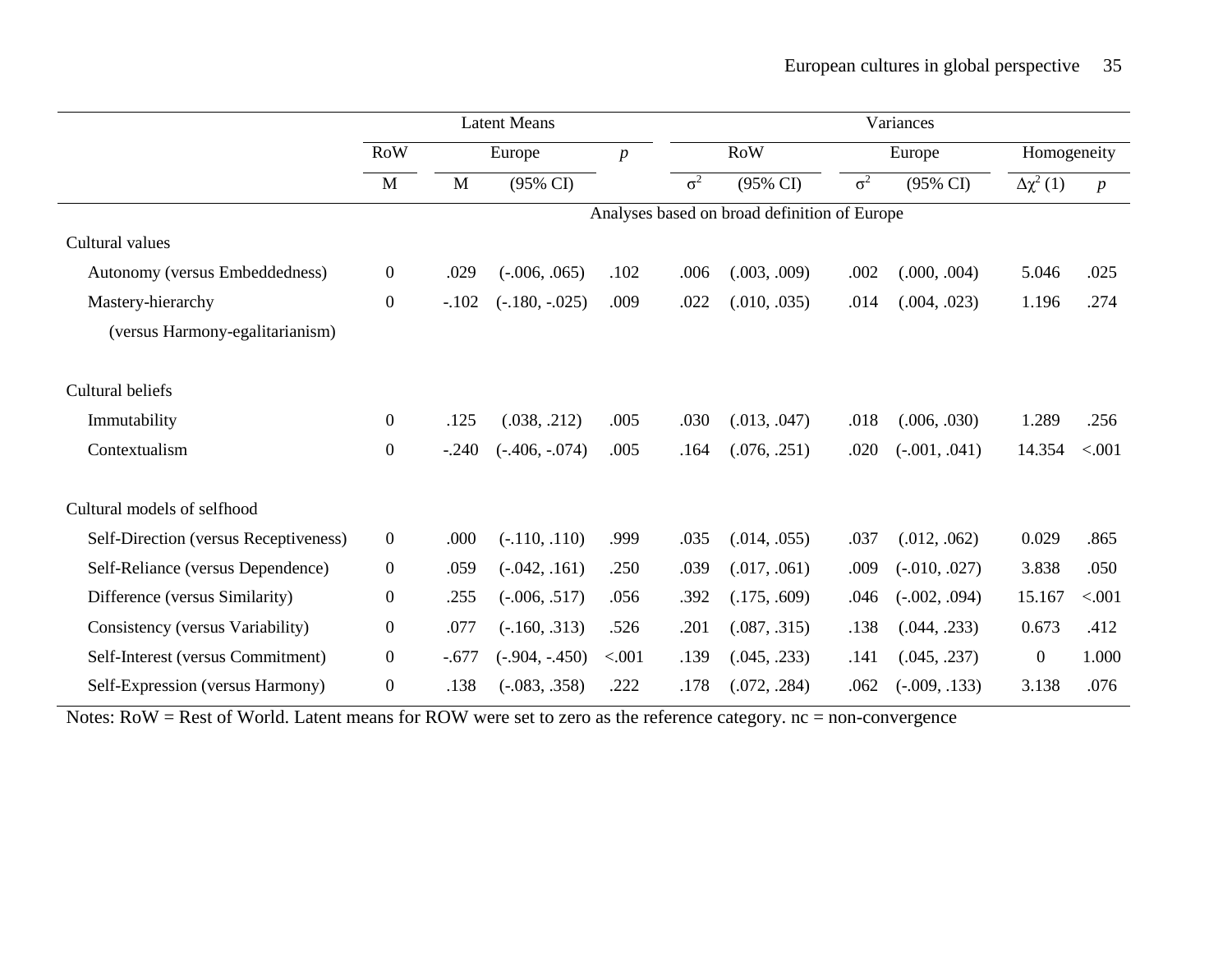|                                       | <b>Latent Means</b> |                                              |                  | Variances        |            |              |            |                     |                     |                  |
|---------------------------------------|---------------------|----------------------------------------------|------------------|------------------|------------|--------------|------------|---------------------|---------------------|------------------|
|                                       | <b>RoW</b>          |                                              | Europe           | $\boldsymbol{p}$ | <b>RoW</b> |              | Europe     |                     | Homogeneity         |                  |
|                                       | M                   | M                                            | (95% CI)         |                  | $\sigma^2$ | (95% CI)     | $\sigma^2$ | $(95\% \text{ CI})$ | $\Delta \chi^2$ (1) | $\boldsymbol{p}$ |
|                                       |                     | Analyses based on broad definition of Europe |                  |                  |            |              |            |                     |                     |                  |
| Cultural values                       |                     |                                              |                  |                  |            |              |            |                     |                     |                  |
| Autonomy (versus Embeddedness)        | $\mathbf{0}$        | .029                                         | $(-.006, .065)$  | .102             | .006       | (.003, .009) | .002       | (.000, .004)        | 5.046               | .025             |
| Mastery-hierarchy                     | $\boldsymbol{0}$    | $-.102$                                      | $(-.180, -025)$  | .009             | .022       | (.010, .035) | .014       | (.004, .023)        | 1.196               | .274             |
| (versus Harmony-egalitarianism)       |                     |                                              |                  |                  |            |              |            |                     |                     |                  |
| Cultural beliefs                      |                     |                                              |                  |                  |            |              |            |                     |                     |                  |
| Immutability                          | $\boldsymbol{0}$    | .125                                         | (.038, .212)     | .005             | .030       | (.013, .047) | .018       | (.006, .030)        | 1.289               | .256             |
| Contextualism                         | $\boldsymbol{0}$    | $-.240$                                      | $(-.406, -074)$  | .005             | .164       | (.076, .251) | .020       | $(-.001, .041)$     | 14.354              | < .001           |
| Cultural models of selfhood           |                     |                                              |                  |                  |            |              |            |                     |                     |                  |
| Self-Direction (versus Receptiveness) | $\boldsymbol{0}$    | .000                                         | $(-.110, .110)$  | .999             | .035       | (.014, .055) | .037       | (.012, .062)        | 0.029               | .865             |
| Self-Reliance (versus Dependence)     | $\boldsymbol{0}$    | .059                                         | $(-.042, .161)$  | .250             | .039       | (.017, .061) | .009       | $(-.010, .027)$     | 3.838               | .050             |
| Difference (versus Similarity)        | $\boldsymbol{0}$    | .255                                         | $(-.006, .517)$  | .056             | .392       | (.175, .609) | .046       | $(-.002, .094)$     | 15.167              | < .001           |
| Consistency (versus Variability)      | $\boldsymbol{0}$    | .077                                         | $(-.160, .313)$  | .526             | .201       | (.087, .315) | .138       | (.044, .233)        | 0.673               | .412             |
| Self-Interest (versus Commitment)     | $\boldsymbol{0}$    | $-.677$                                      | $(-.904, -.450)$ | < .001           | .139       | (.045, .233) | .141       | (.045, .237)        | $\mathbf{0}$        | 1.000            |
| Self-Expression (versus Harmony)      | $\boldsymbol{0}$    | .138                                         | $(-.083, .358)$  | .222             | .178       | (.072, .284) | .062       | $(-.009, .133)$     | 3.138               | .076             |

Notes: RoW = Rest of World. Latent means for ROW were set to zero as the reference category. nc = non-convergence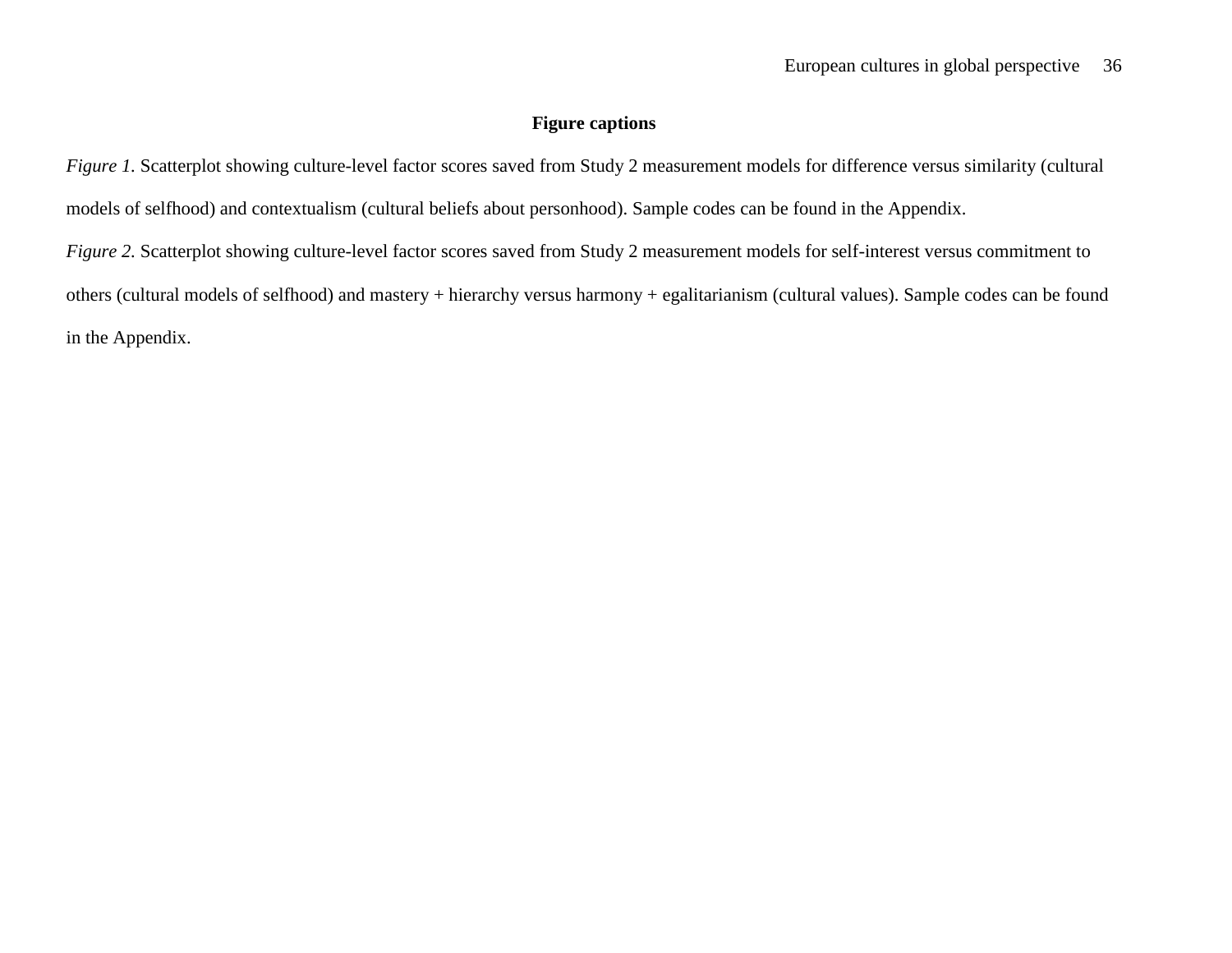## **Figure captions**

*Figure 1*. Scatterplot showing culture-level factor scores saved from Study 2 measurement models for difference versus similarity (cultural models of selfhood) and contextualism (cultural beliefs about personhood). Sample codes can be found in the Appendix.

*Figure 2.* Scatterplot showing culture-level factor scores saved from Study 2 measurement models for self-interest versus commitment to others (cultural models of selfhood) and mastery + hierarchy versus harmony + egalitarianism (cultural values). Sample codes can be found in the Appendix.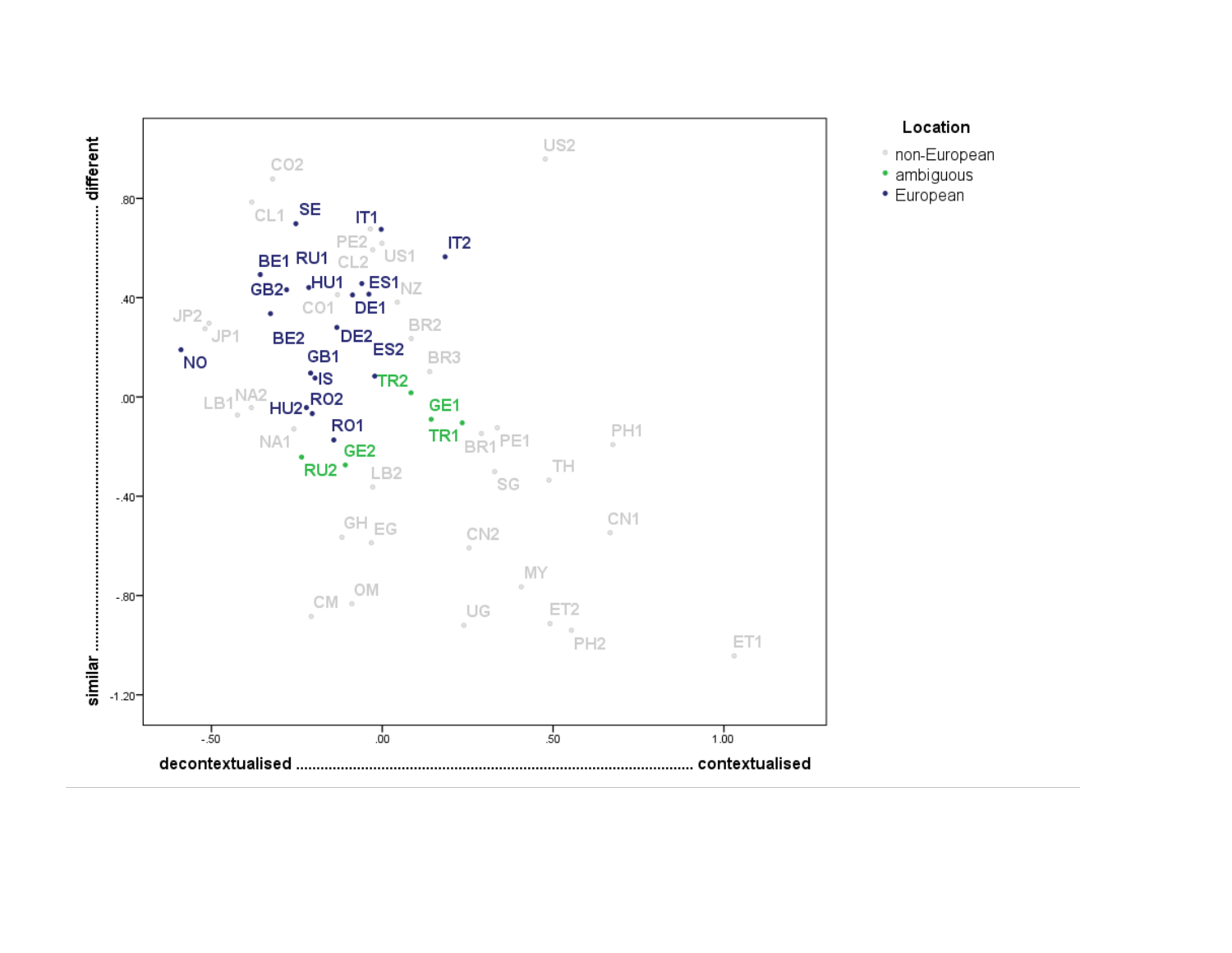

## Location

- non-European
- · ambiguous
- European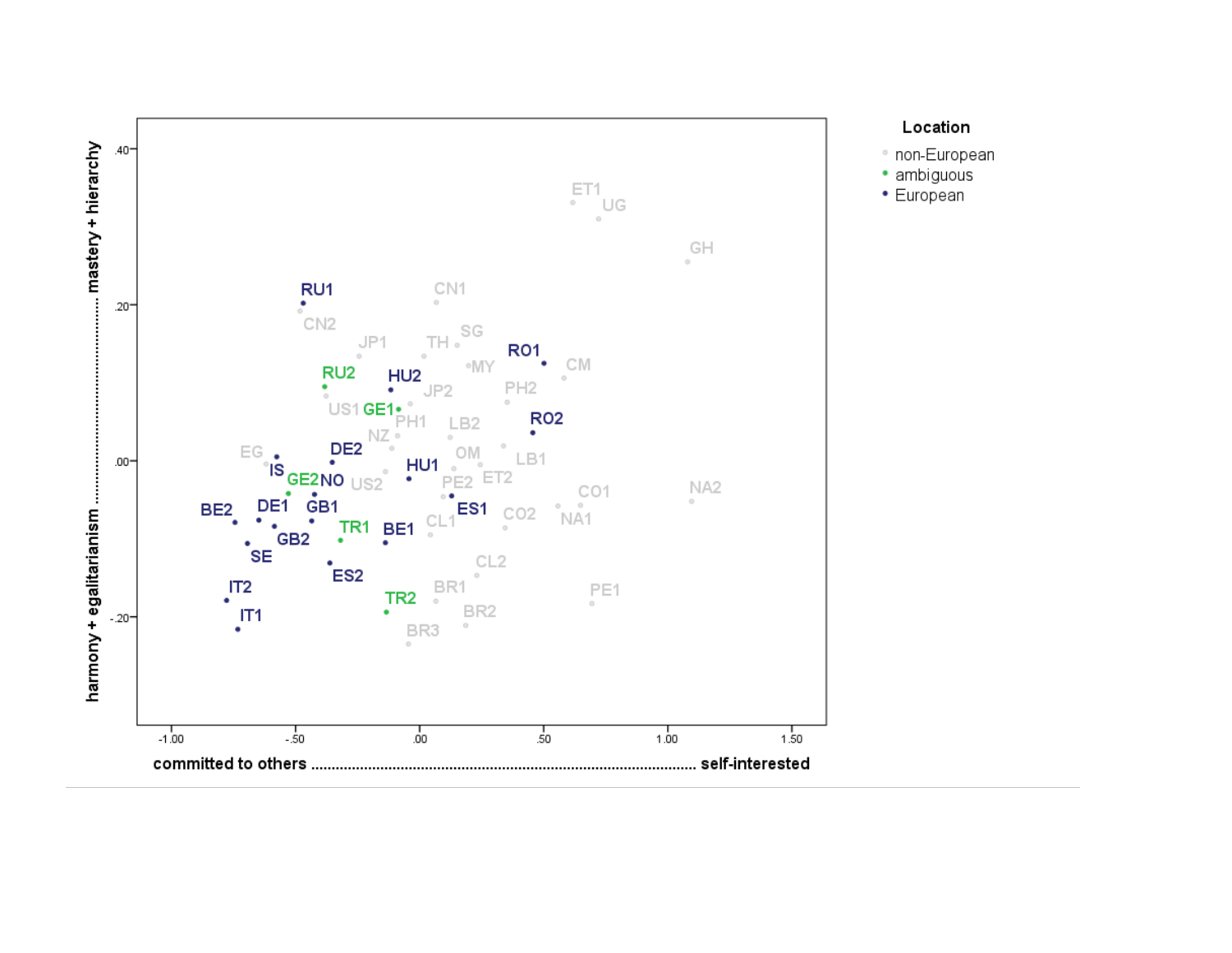

## Location

- non-European
- · ambiguous
- European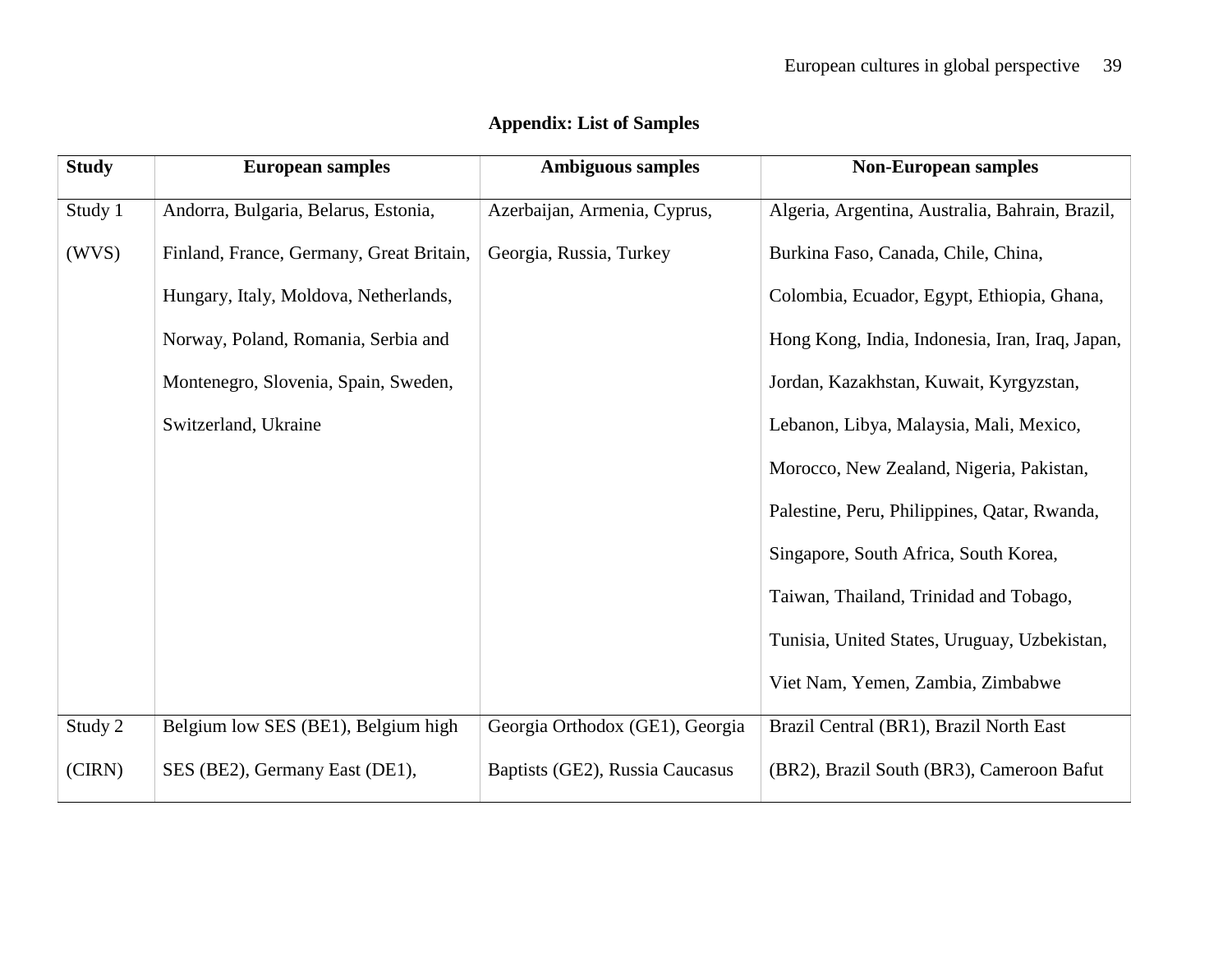| <b>Study</b> | <b>European samples</b>                  | <b>Ambiguous samples</b>        | <b>Non-European samples</b>                     |
|--------------|------------------------------------------|---------------------------------|-------------------------------------------------|
| Study 1      | Andorra, Bulgaria, Belarus, Estonia,     | Azerbaijan, Armenia, Cyprus,    | Algeria, Argentina, Australia, Bahrain, Brazil, |
| (WVS)        | Finland, France, Germany, Great Britain, | Georgia, Russia, Turkey         | Burkina Faso, Canada, Chile, China,             |
|              | Hungary, Italy, Moldova, Netherlands,    |                                 | Colombia, Ecuador, Egypt, Ethiopia, Ghana,      |
|              | Norway, Poland, Romania, Serbia and      |                                 | Hong Kong, India, Indonesia, Iran, Iraq, Japan, |
|              | Montenegro, Slovenia, Spain, Sweden,     |                                 | Jordan, Kazakhstan, Kuwait, Kyrgyzstan,         |
|              | Switzerland, Ukraine                     |                                 | Lebanon, Libya, Malaysia, Mali, Mexico,         |
|              |                                          |                                 | Morocco, New Zealand, Nigeria, Pakistan,        |
|              |                                          |                                 | Palestine, Peru, Philippines, Qatar, Rwanda,    |
|              |                                          |                                 | Singapore, South Africa, South Korea,           |
|              |                                          |                                 | Taiwan, Thailand, Trinidad and Tobago,          |
|              |                                          |                                 | Tunisia, United States, Uruguay, Uzbekistan,    |
|              |                                          |                                 | Viet Nam, Yemen, Zambia, Zimbabwe               |
| Study 2      | Belgium low SES (BE1), Belgium high      | Georgia Orthodox (GE1), Georgia | Brazil Central (BR1), Brazil North East         |
| (CIRN)       | SES (BE2), Germany East (DE1),           | Baptists (GE2), Russia Caucasus | (BR2), Brazil South (BR3), Cameroon Bafut       |

# **Appendix: List of Samples**